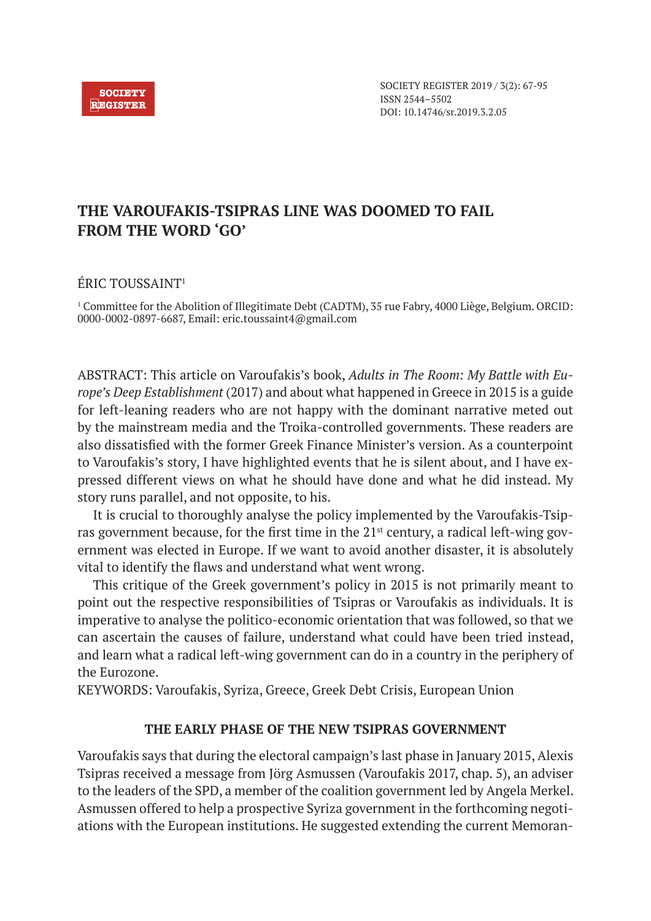

SOCIETY REGISTER 2019 / 3(2): 67-95 ISSN 2544–5502 DOI: 10.14746/sr.2019.3.2.05

# **THE VAROUFAKIS-TSIPRAS LINE WAS DOOMED TO FAIL FROM THE WORD 'GO'**

# ÉRIC TOUSSAINT1

1 Committee for the Abolition of Illegitimate Debt (CADTM), 35 rue Fabry, 4000 Liège, Belgium. ORCID: 0000-0002-0897-6687, Email: eric.toussaint4@gmail.com

ABSTRACT: This article on Varoufakis's book, *Adults in The Room: My Battle with Europe's Deep Establishment* (2017) and about what happened in Greece in 2015 is a guide for left-leaning readers who are not happy with the dominant narrative meted out by the mainstream media and the Troika-controlled governments. These readers are also dissatisfied with the former Greek Finance Minister's version. As a counterpoint to Varoufakis's story, I have highlighted events that he is silent about, and I have expressed different views on what he should have done and what he did instead. My story runs parallel, and not opposite, to his.

It is crucial to thoroughly analyse the policy implemented by the Varoufakis-Tsipras government because, for the first time in the 21st century, a radical left-wing government was elected in Europe. If we want to avoid another disaster, it is absolutely vital to identify the flaws and understand what went wrong.

This critique of the Greek government's policy in 2015 is not primarily meant to point out the respective responsibilities of Tsipras or Varoufakis as individuals. It is imperative to analyse the politico-economic orientation that was followed, so that we can ascertain the causes of failure, understand what could have been tried instead, and learn what a radical left-wing government can do in a country in the periphery of the Eurozone.

KEYWORDS: Varoufakis, Syriza, Greece, Greek Debt Crisis, European Union

## **THE EARLY PHASE OF THE NEW TSIPRAS GOVERNMENT**

Varoufakis says that during the electoral campaign's last phase in January 2015, Alexis Tsipras received a message from Jörg Asmussen (Varoufakis 2017, chap. 5), an adviser to the leaders of the SPD, a member of the coalition government led by Angela Merkel. Asmussen offered to help a prospective Syriza government in the forthcoming negotiations with the European institutions. He suggested extending the current Memoran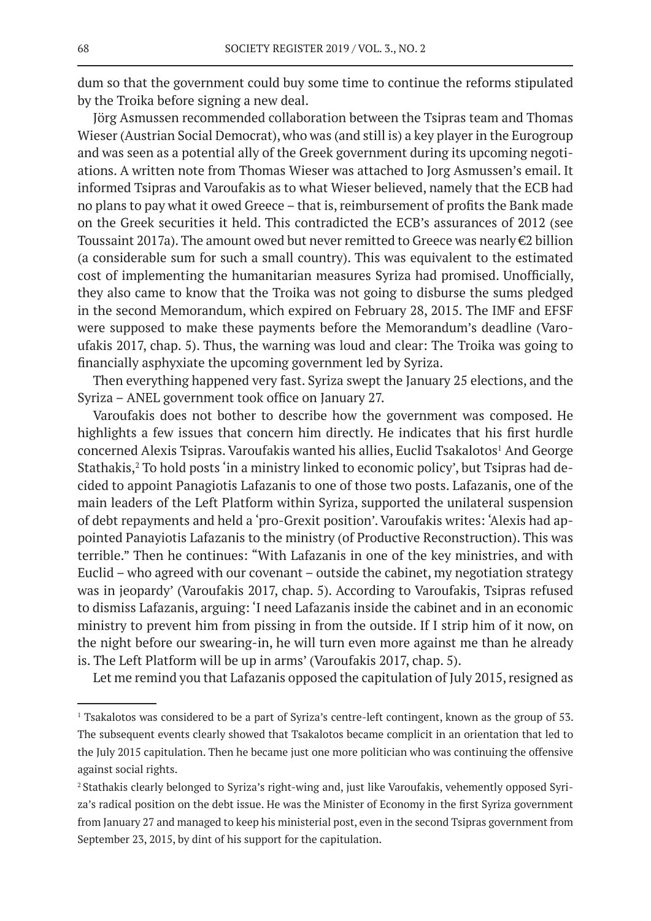dum so that the government could buy some time to continue the reforms stipulated by the Troika before signing a new deal.

Jörg Asmussen recommended collaboration between the Tsipras team and Thomas Wieser (Austrian Social Democrat), who was (and still is) a key player in the Eurogroup and was seen as a potential ally of the Greek government during its upcoming negotiations. A written note from Thomas Wieser was attached to Jorg Asmussen's email. It informed Tsipras and Varoufakis as to what Wieser believed, namely that the ECB had no plans to pay what it owed Greece – that is, reimbursement of profits the Bank made on the Greek securities it held. This contradicted the ECB's assurances of 2012 (see Toussaint 2017a). The amount owed but never remitted to Greece was nearly  $\epsilon$ 2 billion (a considerable sum for such a small country). This was equivalent to the estimated cost of implementing the humanitarian measures Syriza had promised. Unofficially, they also came to know that the Troika was not going to disburse the sums pledged in the second Memorandum, which expired on February 28, 2015. The IMF and EFSF were supposed to make these payments before the Memorandum's deadline (Varoufakis 2017, chap. 5). Thus, the warning was loud and clear: The Troika was going to financially asphyxiate the upcoming government led by Syriza.

Then everything happened very fast. Syriza swept the January 25 elections, and the Syriza – ANEL government took office on January 27.

Varoufakis does not bother to describe how the government was composed. He highlights a few issues that concern him directly. He indicates that his first hurdle concerned Alexis Tsipras. Varoufakis wanted his allies, Euclid Tsakalotos<sup>1</sup> And George Stathakis,<sup>2</sup> To hold posts 'in a ministry linked to economic policy', but Tsipras had decided to appoint Panagiotis Lafazanis to one of those two posts. Lafazanis, one of the main leaders of the Left Platform within Syriza, supported the unilateral suspension of debt repayments and held a 'pro-Grexit position'. Varoufakis writes: 'Alexis had appointed Panayiotis Lafazanis to the ministry (of Productive Reconstruction). This was terrible." Then he continues: "With Lafazanis in one of the key ministries, and with Euclid – who agreed with our covenant – outside the cabinet, my negotiation strategy was in jeopardy' (Varoufakis 2017, chap. 5). According to Varoufakis, Tsipras refused to dismiss Lafazanis, arguing: 'I need Lafazanis inside the cabinet and in an economic ministry to prevent him from pissing in from the outside. If I strip him of it now, on the night before our swearing-in, he will turn even more against me than he already is. The Left Platform will be up in arms' (Varoufakis 2017, chap. 5).

Let me remind you that Lafazanis opposed the capitulation of July 2015, resigned as

<sup>1</sup> Tsakalotos was considered to be a part of Syriza's centre-left contingent, known as the group of 53. The subsequent events clearly showed that Tsakalotos became complicit in an orientation that led to the July 2015 capitulation. Then he became just one more politician who was continuing the offensive against social rights.

<sup>2</sup> Stathakis clearly belonged to Syriza's right-wing and, just like Varoufakis, vehemently opposed Syriza's radical position on the debt issue. He was the Minister of Economy in the first Syriza government from January 27 and managed to keep his ministerial post, even in the second Tsipras government from September 23, 2015, by dint of his support for the capitulation.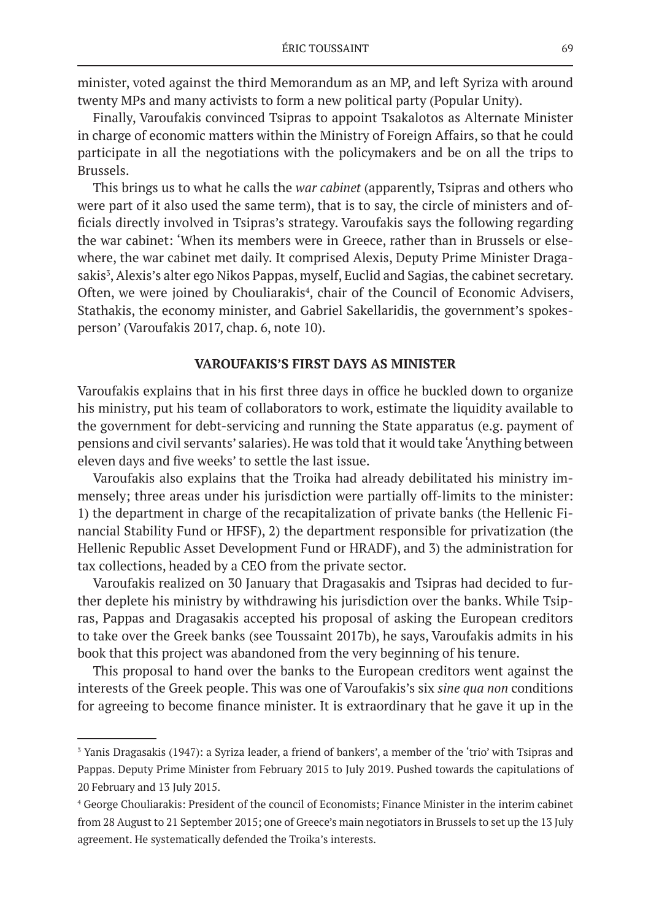minister, voted against the third Memorandum as an MP, and left Syriza with around twenty MPs and many activists to form a new political party (Popular Unity).

Finally, Varoufakis convinced Tsipras to appoint Tsakalotos as Alternate Minister in charge of economic matters within the Ministry of Foreign Affairs, so that he could participate in all the negotiations with the policymakers and be on all the trips to Brussels.

This brings us to what he calls the *war cabinet* (apparently, Tsipras and others who were part of it also used the same term), that is to say, the circle of ministers and officials directly involved in Tsipras's strategy. Varoufakis says the following regarding the war cabinet: 'When its members were in Greece, rather than in Brussels or elsewhere, the war cabinet met daily. It comprised Alexis, Deputy Prime Minister Dragasakis<sup>3</sup>, Alexis's alter ego Nikos Pappas, myself, Euclid and Sagias, the cabinet secretary. Often, we were joined by Chouliarakis<sup>4</sup>, chair of the Council of Economic Advisers, Stathakis, the economy minister, and Gabriel Sakellaridis, the government's spokesperson' (Varoufakis 2017, chap. 6, note 10).

## **VAROUFAKIS'S FIRST DAYS AS MINISTER**

Varoufakis explains that in his first three days in office he buckled down to organize his ministry, put his team of collaborators to work, estimate the liquidity available to the government for debt-servicing and running the State apparatus (e.g. payment of pensions and civil servants' salaries). He was told that it would take 'Anything between eleven days and five weeks' to settle the last issue.

Varoufakis also explains that the Troika had already debilitated his ministry immensely; three areas under his jurisdiction were partially off-limits to the minister: 1) the department in charge of the recapitalization of private banks (the Hellenic Financial Stability Fund or HFSF), 2) the department responsible for privatization (the Hellenic Republic Asset Development Fund or HRADF), and 3) the administration for tax collections, headed by a CEO from the private sector.

Varoufakis realized on 30 January that Dragasakis and Tsipras had decided to further deplete his ministry by withdrawing his jurisdiction over the banks. While Tsipras, Pappas and Dragasakis accepted his proposal of asking the European creditors to take over the Greek banks (see Toussaint 2017b), he says, Varoufakis admits in his book that this project was abandoned from the very beginning of his tenure.

This proposal to hand over the banks to the European creditors went against the interests of the Greek people. This was one of Varoufakis's six *sine qua non* conditions for agreeing to become finance minister. It is extraordinary that he gave it up in the

<sup>3</sup> Yanis Dragasakis (1947): a Syriza leader, a friend of bankers', a member of the 'trio' with Tsipras and Pappas. Deputy Prime Minister from February 2015 to July 2019. Pushed towards the capitulations of 20 February and 13 July 2015.

<sup>4</sup> George Chouliarakis: President of the council of Economists; Finance Minister in the interim cabinet from 28 August to 21 September 2015; one of Greece's main negotiators in Brussels to set up the 13 July agreement. He systematically defended the Troika's interests.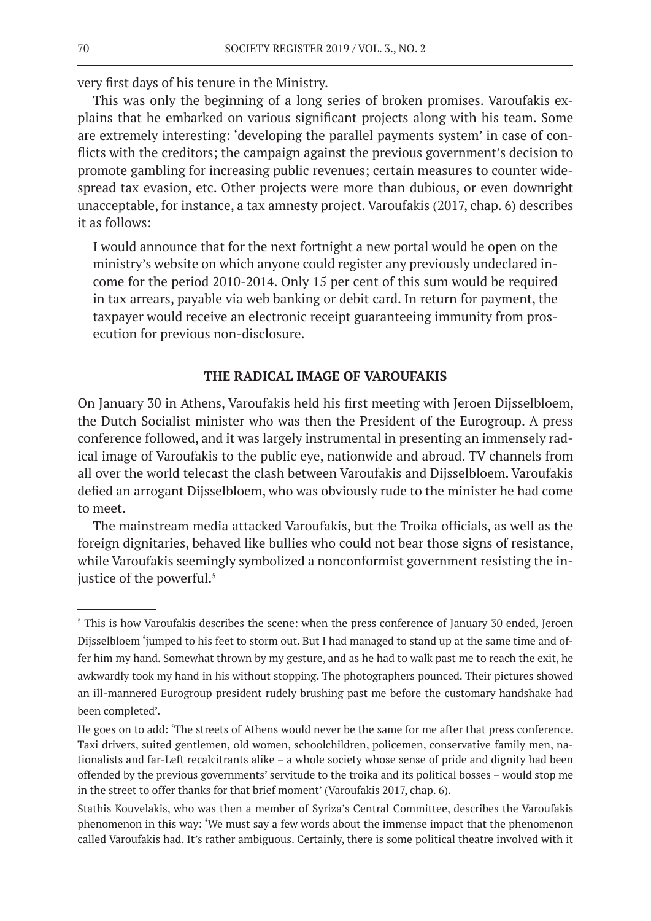very first days of his tenure in the Ministry.

This was only the beginning of a long series of broken promises. Varoufakis explains that he embarked on various significant projects along with his team. Some are extremely interesting: 'developing the parallel payments system' in case of conflicts with the creditors; the campaign against the previous government's decision to promote gambling for increasing public revenues; certain measures to counter widespread tax evasion, etc. Other projects were more than dubious, or even downright unacceptable, for instance, a tax amnesty project. Varoufakis (2017, chap. 6) describes it as follows:

I would announce that for the next fortnight a new portal would be open on the ministry's website on which anyone could register any previously undeclared income for the period 2010-2014. Only 15 per cent of this sum would be required in tax arrears, payable via web banking or debit card. In return for payment, the taxpayer would receive an electronic receipt guaranteeing immunity from prosecution for previous non-disclosure.

## **THE RADICAL IMAGE OF VAROUFAKIS**

On January 30 in Athens, Varoufakis held his first meeting with Jeroen Dijsselbloem, the Dutch Socialist minister who was then the President of the Eurogroup. A press conference followed, and it was largely instrumental in presenting an immensely radical image of Varoufakis to the public eye, nationwide and abroad. TV channels from all over the world telecast the clash between Varoufakis and Dijsselbloem. Varoufakis defied an arrogant Dijsselbloem, who was obviously rude to the minister he had come to meet.

The mainstream media attacked Varoufakis, but the Troika officials, as well as the foreign dignitaries, behaved like bullies who could not bear those signs of resistance, while Varoufakis seemingly symbolized a nonconformist government resisting the injustice of the powerful.<sup>5</sup>

<sup>&</sup>lt;sup>5</sup> This is how Varoufakis describes the scene: when the press conference of January 30 ended, Jeroen Dijsselbloem 'jumped to his feet to storm out. But I had managed to stand up at the same time and offer him my hand. Somewhat thrown by my gesture, and as he had to walk past me to reach the exit, he awkwardly took my hand in his without stopping. The photographers pounced. Their pictures showed an ill-mannered Eurogroup president rudely brushing past me before the customary handshake had been completed'.

He goes on to add: 'The streets of Athens would never be the same for me after that press conference. Taxi drivers, suited gentlemen, old women, schoolchildren, policemen, conservative family men, nationalists and far-Left recalcitrants alike – a whole society whose sense of pride and dignity had been offended by the previous governments' servitude to the troika and its political bosses – would stop me in the street to offer thanks for that brief moment' (Varoufakis 2017, chap. 6).

Stathis Kouvelakis, who was then a member of Syriza's Central Committee, describes the Varoufakis phenomenon in this way: 'We must say a few words about the immense impact that the phenomenon called Varoufakis had. It's rather ambiguous. Certainly, there is some political theatre involved with it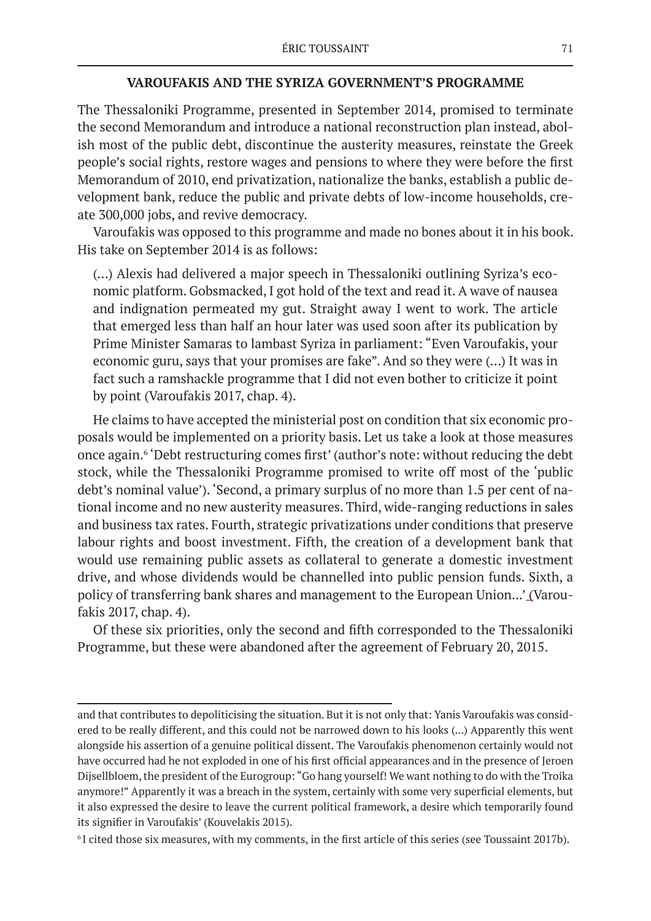## **VAROUFAKIS AND THE SYRIZA GOVERNMENT'S PROGRAMME**

The Thessaloniki Programme, presented in September 2014, promised to terminate the second Memorandum and introduce a national reconstruction plan instead, abolish most of the public debt, discontinue the austerity measures, reinstate the Greek people's social rights, restore wages and pensions to where they were before the first Memorandum of 2010, end privatization, nationalize the banks, establish a public development bank, reduce the public and private debts of low-income households, create 300,000 jobs, and revive democracy.

Varoufakis was opposed to this programme and made no bones about it in his book. His take on September 2014 is as follows:

(…) Alexis had delivered a major speech in Thessaloniki outlining Syriza's economic platform. Gobsmacked, I got hold of the text and read it. A wave of nausea and indignation permeated my gut. Straight away I went to work. The article that emerged less than half an hour later was used soon after its publication by Prime Minister Samaras to lambast Syriza in parliament: "Even Varoufakis, your economic guru, says that your promises are fake". And so they were (…) It was in fact such a ramshackle programme that I did not even bother to criticize it point by point (Varoufakis 2017, chap. 4).

He claims to have accepted the ministerial post on condition that six economic proposals would be implemented on a priority basis. Let us take a look at those measures once again.<sup>6</sup> 'Debt restructuring comes first' (author's note: without reducing the debt stock, while the Thessaloniki Programme promised to write off most of the 'public debt's nominal value'). 'Second, a primary surplus of no more than 1.5 per cent of national income and no new austerity measures. Third, wide-ranging reductions in sales and business tax rates. Fourth, strategic privatizations under conditions that preserve labour rights and boost investment. Fifth, the creation of a development bank that would use remaining public assets as collateral to generate a domestic investment drive, and whose dividends would be channelled into public pension funds. Sixth, a policy of transferring bank shares and management to the European Union...' (Varoufakis 2017, chap. 4).

Of these six priorities, only the second and fifth corresponded to the Thessaloniki Programme, but these were abandoned after the agreement of February 20, 2015.

and that contributes to depoliticising the situation. But it is not only that: Yanis Varoufakis was considered to be really different, and this could not be narrowed down to his looks (...) Apparently this went alongside his assertion of a genuine political dissent. The Varoufakis phenomenon certainly would not have occurred had he not exploded in one of his first official appearances and in the presence of Jeroen Dijsellbloem, the president of the Eurogroup: "Go hang yourself! We want nothing to do with the Troika anymore!" Apparently it was a breach in the system, certainly with some very superficial elements, but it also expressed the desire to leave the current political framework, a desire which temporarily found its signifier in Varoufakis' (Kouvelakis 2015).

<sup>6</sup> I cited those six measures, with my comments, in the first article of this series (see Toussaint 2017b).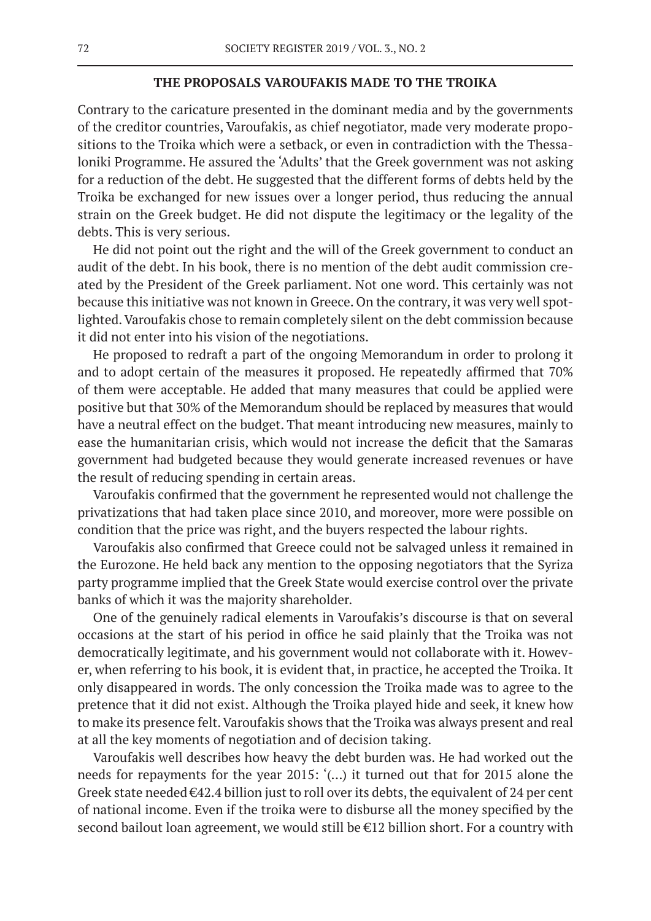#### **THE PROPOSALS VAROUFAKIS MADE TO THE TROIKA**

Contrary to the caricature presented in the dominant media and by the governments of the creditor countries, Varoufakis, as chief negotiator, made very moderate propositions to the Troika which were a setback, or even in contradiction with the Thessaloniki Programme. He assured the 'Adults' that the Greek government was not asking for a reduction of the debt. He suggested that the different forms of debts held by the Troika be exchanged for new issues over a longer period, thus reducing the annual strain on the Greek budget. He did not dispute the legitimacy or the legality of the debts. This is very serious.

He did not point out the right and the will of the Greek government to conduct an audit of the debt. In his book, there is no mention of the debt audit commission created by the President of the Greek parliament. Not one word. This certainly was not because this initiative was not known in Greece. On the contrary, it was very well spotlighted. Varoufakis chose to remain completely silent on the debt commission because it did not enter into his vision of the negotiations.

He proposed to redraft a part of the ongoing Memorandum in order to prolong it and to adopt certain of the measures it proposed. He repeatedly affirmed that 70% of them were acceptable. He added that many measures that could be applied were positive but that 30% of the Memorandum should be replaced by measures that would have a neutral effect on the budget. That meant introducing new measures, mainly to ease the humanitarian crisis, which would not increase the deficit that the Samaras government had budgeted because they would generate increased revenues or have the result of reducing spending in certain areas.

Varoufakis confirmed that the government he represented would not challenge the privatizations that had taken place since 2010, and moreover, more were possible on condition that the price was right, and the buyers respected the labour rights.

Varoufakis also confirmed that Greece could not be salvaged unless it remained in the Eurozone. He held back any mention to the opposing negotiators that the Syriza party programme implied that the Greek State would exercise control over the private banks of which it was the majority shareholder.

One of the genuinely radical elements in Varoufakis's discourse is that on several occasions at the start of his period in office he said plainly that the Troika was not democratically legitimate, and his government would not collaborate with it. However, when referring to his book, it is evident that, in practice, he accepted the Troika. It only disappeared in words. The only concession the Troika made was to agree to the pretence that it did not exist. Although the Troika played hide and seek, it knew how to make its presence felt. Varoufakis shows that the Troika was always present and real at all the key moments of negotiation and of decision taking.

Varoufakis well describes how heavy the debt burden was. He had worked out the needs for repayments for the year 2015: '(…) it turned out that for 2015 alone the Greek state needed  $\epsilon$ 42.4 billion just to roll over its debts, the equivalent of 24 per cent of national income. Even if the troika were to disburse all the money specified by the second bailout loan agreement, we would still be €12 billion short. For a country with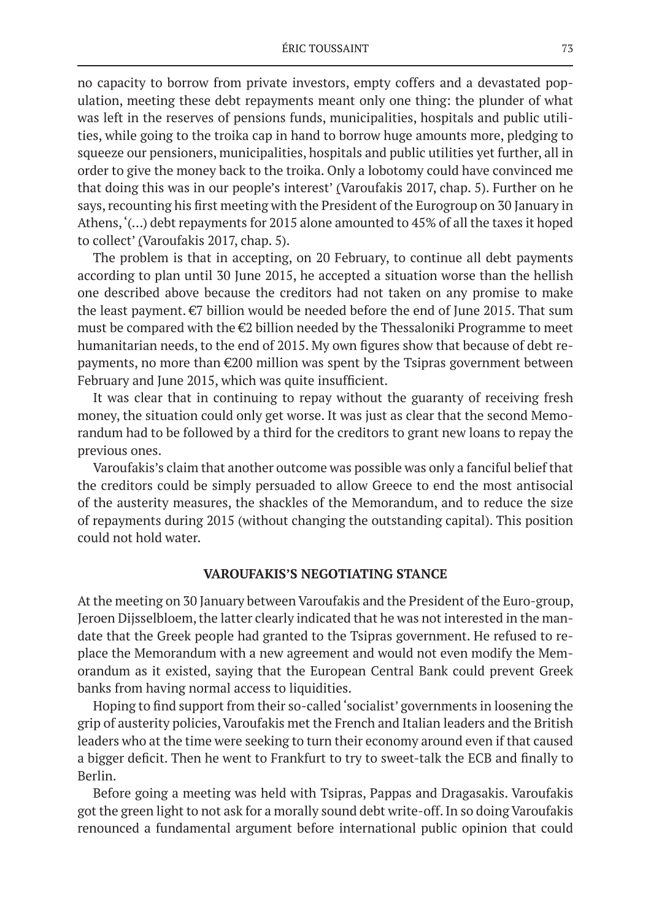no capacity to borrow from private investors, empty coffers and a devastated population, meeting these debt repayments meant only one thing: the plunder of what was left in the reserves of pensions funds, municipalities, hospitals and public utilities, while going to the troika cap in hand to borrow huge amounts more, pledging to squeeze our pensioners, municipalities, hospitals and public utilities yet further, all in order to give the money back to the troika. Only a lobotomy could have convinced me that doing this was in our people's interest' (Varoufakis 2017, chap. 5). Further on he says, recounting his first meeting with the President of the Eurogroup on 30 January in Athens, '(…) debt repayments for 2015 alone amounted to 45% of all the taxes it hoped to collect' (Varoufakis 2017, chap. 5).

The problem is that in accepting, on 20 February, to continue all debt payments according to plan until 30 June 2015, he accepted a situation worse than the hellish one described above because the creditors had not taken on any promise to make the least payment.  $\epsilon$ 7 billion would be needed before the end of June 2015. That sum must be compared with the €2 billion needed by the Thessaloniki Programme to meet humanitarian needs, to the end of 2015. My own figures show that because of debt repayments, no more than €200 million was spent by the Tsipras government between February and June 2015, which was quite insufficient.

It was clear that in continuing to repay without the guaranty of receiving fresh money, the situation could only get worse. It was just as clear that the second Memorandum had to be followed by a third for the creditors to grant new loans to repay the previous ones.

Varoufakis's claim that another outcome was possible was only a fanciful belief that the creditors could be simply persuaded to allow Greece to end the most antisocial of the austerity measures, the shackles of the Memorandum, and to reduce the size of repayments during 2015 (without changing the outstanding capital). This position could not hold water.

#### **VAROUFAKIS'S NEGOTIATING STANCE**

At the meeting on 30 January between Varoufakis and the President of the Euro-group, Jeroen Dijsselbloem, the latter clearly indicated that he was not interested in the mandate that the Greek people had granted to the Tsipras government. He refused to replace the Memorandum with a new agreement and would not even modify the Memorandum as it existed, saying that the European Central Bank could prevent Greek banks from having normal access to liquidities.

Hoping to find support from their so-called 'socialist' governments in loosening the grip of austerity policies, Varoufakis met the French and Italian leaders and the British leaders who at the time were seeking to turn their economy around even if that caused a bigger deficit. Then he went to Frankfurt to try to sweet-talk the ECB and finally to Berlin.

Before going a meeting was held with Tsipras, Pappas and Dragasakis. Varoufakis got the green light to not ask for a morally sound debt write-off. In so doing Varoufakis renounced a fundamental argument before international public opinion that could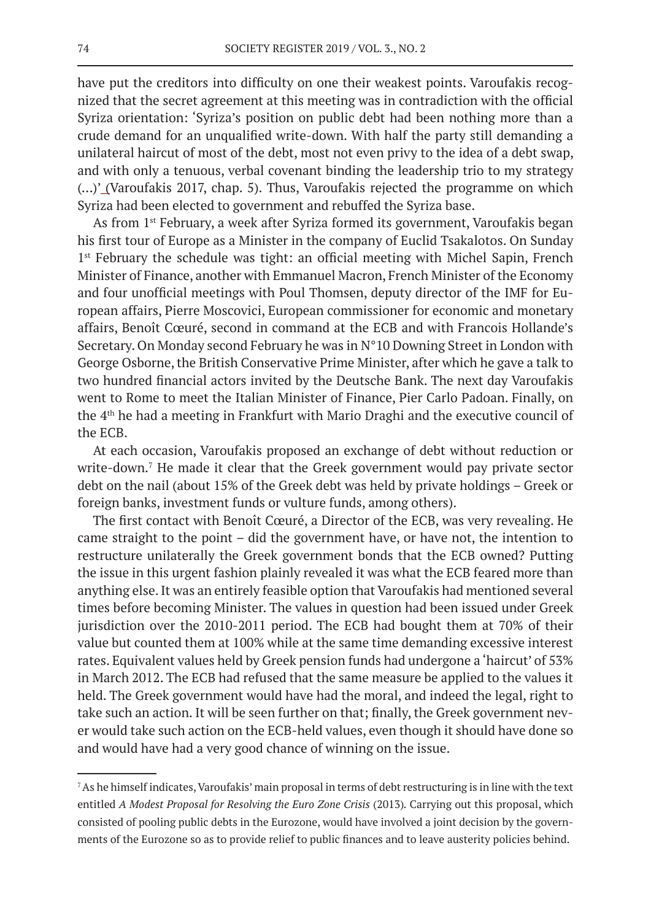have put the creditors into difficulty on one their weakest points. Varoufakis recognized that the secret agreement at this meeting was in contradiction with the official Syriza orientation: 'Syriza's position on public debt had been nothing more than a crude demand for an unqualified write-down. With half the party still demanding a unilateral haircut of most of the debt, most not even privy to the idea of a debt swap, and with only a tenuous, verbal covenant binding the leadership trio to my strategy (…)' (Varoufakis 2017, chap. 5). Thus, Varoufakis rejected the programme on which Syriza had been elected to government and rebuffed the Syriza base.

As from 1st February, a week after Syriza formed its government, Varoufakis began his first tour of Europe as a Minister in the company of Euclid Tsakalotos. On Sunday 1<sup>st</sup> February the schedule was tight: an official meeting with Michel Sapin, French Minister of Finance, another with Emmanuel Macron, French Minister of the Economy and four unofficial meetings with Poul Thomsen, deputy director of the IMF for European affairs, Pierre Moscovici, European commissioner for economic and monetary affairs, Benoît Cœuré, second in command at the ECB and with Francois Hollande's Secretary. On Monday second February he was in N°10 Downing Street in London with George Osborne, the British Conservative Prime Minister, after which he gave a talk to two hundred financial actors invited by the Deutsche Bank. The next day Varoufakis went to Rome to meet the Italian Minister of Finance, Pier Carlo Padoan. Finally, on the 4th he had a meeting in Frankfurt with Mario Draghi and the executive council of the ECB.

At each occasion, Varoufakis proposed an exchange of debt without reduction or write-down.<sup>7</sup> He made it clear that the Greek government would pay private sector debt on the nail (about 15% of the Greek debt was held by private holdings – Greek or foreign banks, investment funds or vulture funds, among others).

The first contact with Benoît Cœuré, a Director of the ECB, was very revealing. He came straight to the point – did the government have, or have not, the intention to restructure unilaterally the Greek government bonds that the ECB owned? Putting the issue in this urgent fashion plainly revealed it was what the ECB feared more than anything else. It was an entirely feasible option that Varoufakis had mentioned several times before becoming Minister. The values in question had been issued under Greek jurisdiction over the 2010-2011 period. The ECB had bought them at 70% of their value but counted them at 100% while at the same time demanding excessive interest rates. Equivalent values held by Greek pension funds had undergone a 'haircut' of 53% in March 2012. The ECB had refused that the same measure be applied to the values it held. The Greek government would have had the moral, and indeed the legal, right to take such an action. It will be seen further on that; finally, the Greek government never would take such action on the ECB-held values, even though it should have done so and would have had a very good chance of winning on the issue.

<sup>7</sup>As he himself indicates, Varoufakis' main proposal in terms of debt restructuring is in line with the text entitled *A Modest Proposal for Resolving the Euro Zone Crisis* (2013)*.* Carrying out this proposal, which consisted of pooling public debts in the Eurozone, would have involved a joint decision by the governments of the Eurozone so as to provide relief to public finances and to leave austerity policies behind.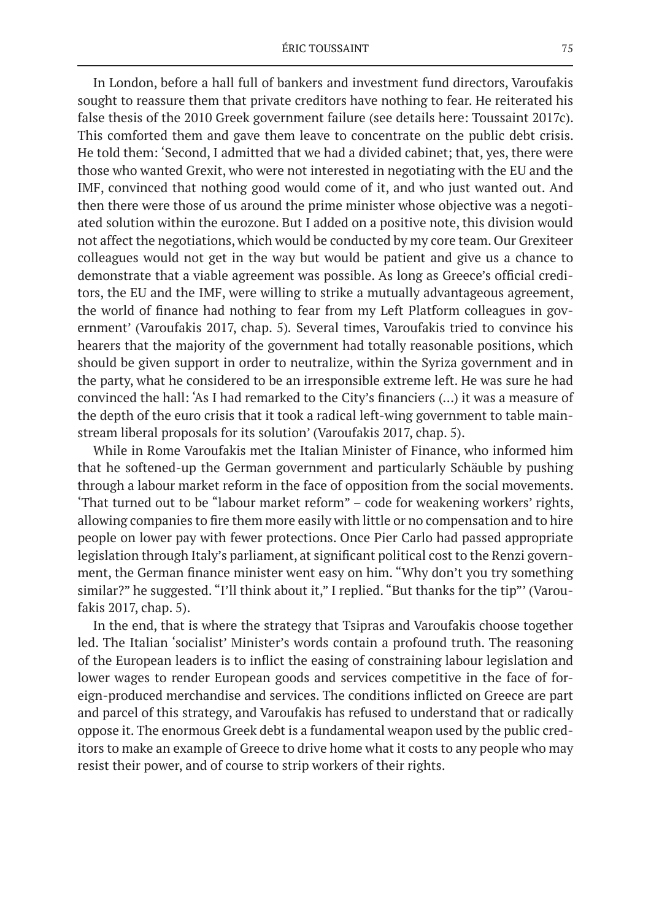In London, before a hall full of bankers and investment fund directors, Varoufakis sought to reassure them that private creditors have nothing to fear. He reiterated his false thesis of the 2010 Greek government failure (see details here: Toussaint 2017c). This comforted them and gave them leave to concentrate on the public debt crisis. He told them: 'Second, I admitted that we had a divided cabinet; that, yes, there were those who wanted Grexit, who were not interested in negotiating with the EU and the IMF, convinced that nothing good would come of it, and who just wanted out. And then there were those of us around the prime minister whose objective was a negotiated solution within the eurozone. But I added on a positive note, this division would not affect the negotiations, which would be conducted by my core team. Our Grexiteer colleagues would not get in the way but would be patient and give us a chance to demonstrate that a viable agreement was possible. As long as Greece's official creditors, the EU and the IMF, were willing to strike a mutually advantageous agreement, the world of finance had nothing to fear from my Left Platform colleagues in government' (Varoufakis 2017, chap. 5)*.* Several times, Varoufakis tried to convince his hearers that the majority of the government had totally reasonable positions, which should be given support in order to neutralize, within the Syriza government and in the party, what he considered to be an irresponsible extreme left. He was sure he had convinced the hall: 'As I had remarked to the City's financiers (…) it was a measure of the depth of the euro crisis that it took a radical left-wing government to table mainstream liberal proposals for its solution' (Varoufakis 2017, chap. 5).

While in Rome Varoufakis met the Italian Minister of Finance, who informed him that he softened-up the German government and particularly Schäuble by pushing through a labour market reform in the face of opposition from the social movements. 'That turned out to be "labour market reform" – code for weakening workers' rights, allowing companies to fire them more easily with little or no compensation and to hire people on lower pay with fewer protections. Once Pier Carlo had passed appropriate legislation through Italy's parliament, at significant political cost to the Renzi government, the German finance minister went easy on him. "Why don't you try something similar?" he suggested. "I'll think about it," I replied. "But thanks for the tip"' (Varoufakis 2017, chap. 5).

In the end, that is where the strategy that Tsipras and Varoufakis choose together led. The Italian 'socialist' Minister's words contain a profound truth. The reasoning of the European leaders is to inflict the easing of constraining labour legislation and lower wages to render European goods and services competitive in the face of foreign-produced merchandise and services. The conditions inflicted on Greece are part and parcel of this strategy, and Varoufakis has refused to understand that or radically oppose it. The enormous Greek debt is a fundamental weapon used by the public creditors to make an example of Greece to drive home what it costs to any people who may resist their power, and of course to strip workers of their rights.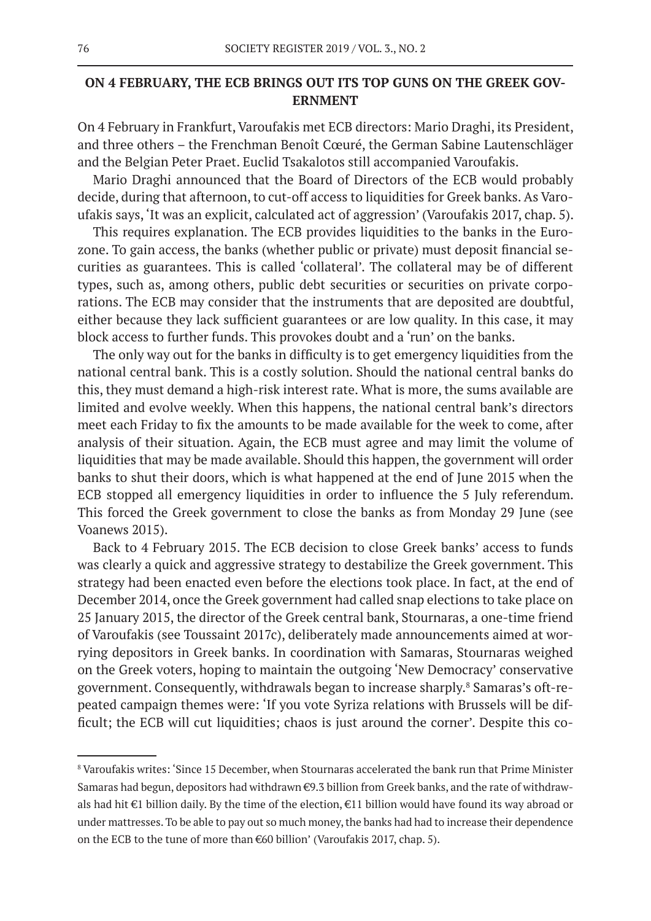# **ON 4 FEBRUARY, THE ECB BRINGS OUT ITS TOP GUNS ON THE GREEK GOV-ERNMENT**

On 4 February in Frankfurt, Varoufakis met ECB directors: Mario Draghi, its President, and three others – the Frenchman Benoît Cœuré, the German Sabine Lautenschläger and the Belgian Peter Praet. Euclid Tsakalotos still accompanied Varoufakis.

Mario Draghi announced that the Board of Directors of the ECB would probably decide, during that afternoon, to cut-off access to liquidities for Greek banks. As Varoufakis says, 'It was an explicit, calculated act of aggression' (Varoufakis 2017, chap. 5).

This requires explanation. The ECB provides liquidities to the banks in the Eurozone. To gain access, the banks (whether public or private) must deposit financial securities as guarantees. This is called 'collateral'. The collateral may be of different types, such as, among others, public debt securities or securities on private corporations. The ECB may consider that the instruments that are deposited are doubtful, either because they lack sufficient guarantees or are low quality. In this case, it may block access to further funds. This provokes doubt and a 'run' on the banks.

The only way out for the banks in difficulty is to get emergency liquidities from the national central bank. This is a costly solution. Should the national central banks do this, they must demand a high-risk interest rate. What is more, the sums available are limited and evolve weekly. When this happens, the national central bank's directors meet each Friday to fix the amounts to be made available for the week to come, after analysis of their situation. Again, the ECB must agree and may limit the volume of liquidities that may be made available. Should this happen, the government will order banks to shut their doors, which is what happened at the end of June 2015 when the ECB stopped all emergency liquidities in order to influence the 5 July referendum. This forced the Greek government to close the banks as from Monday 29 June (see Voanews 2015).

Back to 4 February 2015. The ECB decision to close Greek banks' access to funds was clearly a quick and aggressive strategy to destabilize the Greek government. This strategy had been enacted even before the elections took place. In fact, at the end of December 2014, once the Greek government had called snap elections to take place on 25 January 2015, the director of the Greek central bank, Stournaras, a one-time friend of Varoufakis (see Toussaint 2017c), deliberately made announcements aimed at worrying depositors in Greek banks. In coordination with Samaras, Stournaras weighed on the Greek voters, hoping to maintain the outgoing 'New Democracy' conservative government. Consequently, withdrawals began to increase sharply.<sup>8</sup> Samaras's oft-repeated campaign themes were: 'If you vote Syriza relations with Brussels will be difficult; the ECB will cut liquidities; chaos is just around the corner'. Despite this co-

 $\,^8$ Varoufakis writes: 'Since 15 December, when Stournaras accelerated the bank run that Prime Minister Samaras had begun, depositors had withdrawn €9.3 billion from Greek banks, and the rate of withdrawals had hit €1 billion daily. By the time of the election, €11 billion would have found its way abroad or under mattresses. To be able to pay out so much money, the banks had had to increase their dependence on the ECB to the tune of more than €60 billion' (Varoufakis 2017, chap. 5).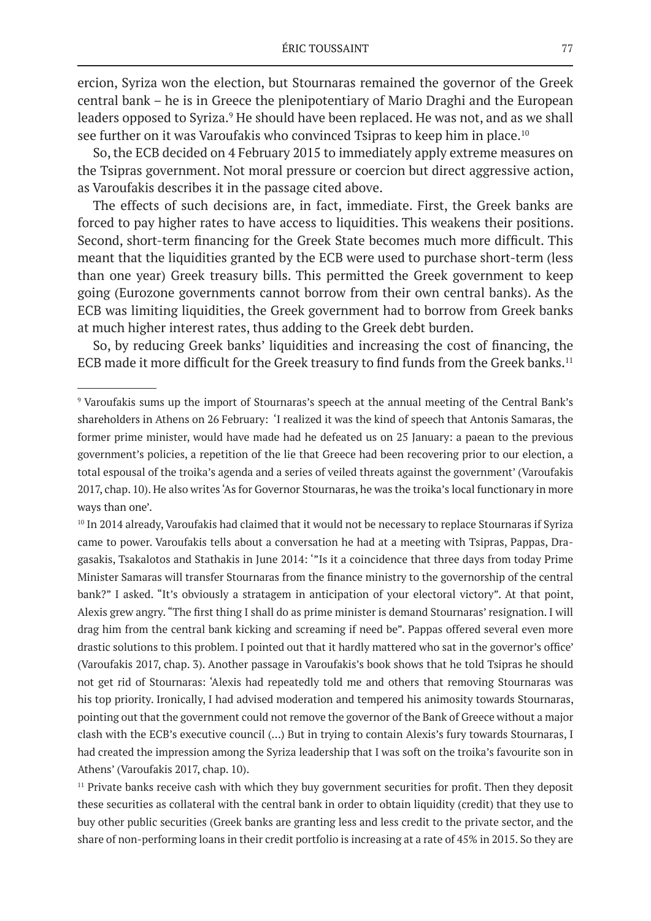ercion, Syriza won the election, but Stournaras remained the governor of the Greek central bank – he is in Greece the plenipotentiary of Mario Draghi and the European leaders opposed to Syriza.<sup>9</sup> He should have been replaced. He was not, and as we shall see further on it was Varoufakis who convinced Tsipras to keep him in place.10

So, the ECB decided on 4 February 2015 to immediately apply extreme measures on the Tsipras government. Not moral pressure or coercion but direct aggressive action, as Varoufakis describes it in the passage cited above.

The effects of such decisions are, in fact, immediate. First, the Greek banks are forced to pay higher rates to have access to liquidities. This weakens their positions. Second, short-term financing for the Greek State becomes much more difficult. This meant that the liquidities granted by the ECB were used to purchase short-term (less than one year) Greek treasury bills. This permitted the Greek government to keep going (Eurozone governments cannot borrow from their own central banks). As the ECB was limiting liquidities, the Greek government had to borrow from Greek banks at much higher interest rates, thus adding to the Greek debt burden.

So, by reducing Greek banks' liquidities and increasing the cost of financing, the ECB made it more difficult for the Greek treasury to find funds from the Greek banks.<sup>11</sup>

 $11$  Private banks receive cash with which they buy government securities for profit. Then they deposit these securities as collateral with the central bank in order to obtain liquidity (credit) that they use to buy other public securities (Greek banks are granting less and less credit to the private sector, and the share of non-performing loans in their credit portfolio is increasing at a rate of 45% in 2015. So they are

<sup>9</sup> Varoufakis sums up the import of Stournaras's speech at the annual meeting of the Central Bank's shareholders in Athens on 26 February: 'I realized it was the kind of speech that Antonis Samaras, the former prime minister, would have made had he defeated us on 25 January: a paean to the previous government's policies, a repetition of the lie that Greece had been recovering prior to our election, a total espousal of the troika's agenda and a series of veiled threats against the government' (Varoufakis 2017, chap. 10). He also writes 'As for Governor Stournaras, he was the troika's local functionary in more ways than one'.

<sup>&</sup>lt;sup>10</sup> In 2014 already, Varoufakis had claimed that it would not be necessary to replace Stournaras if Syriza came to power. Varoufakis tells about a conversation he had at a meeting with Tsipras, Pappas, Dragasakis, Tsakalotos and Stathakis in June 2014: '"Is it a coincidence that three days from today Prime Minister Samaras will transfer Stournaras from the finance ministry to the governorship of the central bank?" I asked. "It's obviously a stratagem in anticipation of your electoral victory". At that point, Alexis grew angry. "The first thing I shall do as prime minister is demand Stournaras' resignation. I will drag him from the central bank kicking and screaming if need be". Pappas offered several even more drastic solutions to this problem. I pointed out that it hardly mattered who sat in the governor's office' (Varoufakis 2017, chap. 3). Another passage in Varoufakis's book shows that he told Tsipras he should not get rid of Stournaras: 'Alexis had repeatedly told me and others that removing Stournaras was his top priority. Ironically, I had advised moderation and tempered his animosity towards Stournaras, pointing out that the government could not remove the governor of the Bank of Greece without a major clash with the ECB's executive council (…) But in trying to contain Alexis's fury towards Stournaras, I had created the impression among the Syriza leadership that I was soft on the troika's favourite son in Athens' (Varoufakis 2017, chap. 10).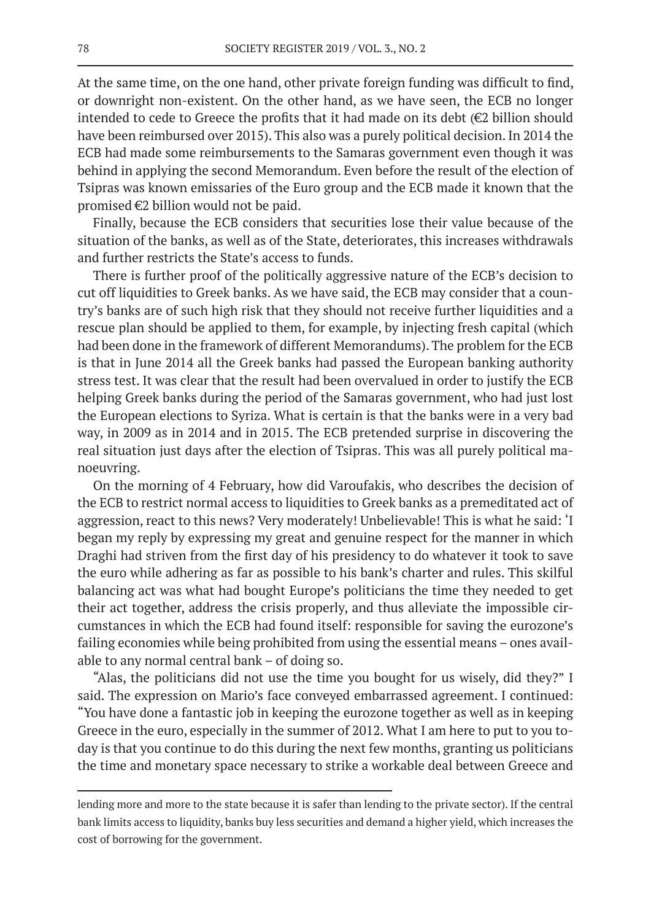At the same time, on the one hand, other private foreign funding was difficult to find, or downright non-existent. On the other hand, as we have seen, the ECB no longer intended to cede to Greece the profits that it had made on its debt (€2 billion should have been reimbursed over 2015). This also was a purely political decision. In 2014 the ECB had made some reimbursements to the Samaras government even though it was behind in applying the second Memorandum. Even before the result of the election of Tsipras was known emissaries of the Euro group and the ECB made it known that the promised  $\epsilon$ 2 billion would not be paid.

Finally, because the ECB considers that securities lose their value because of the situation of the banks, as well as of the State, deteriorates, this increases withdrawals and further restricts the State's access to funds.

There is further proof of the politically aggressive nature of the ECB's decision to cut off liquidities to Greek banks. As we have said, the ECB may consider that a country's banks are of such high risk that they should not receive further liquidities and a rescue plan should be applied to them, for example, by injecting fresh capital (which had been done in the framework of different Memorandums). The problem for the ECB is that in June 2014 all the Greek banks had passed the European banking authority stress test. It was clear that the result had been overvalued in order to justify the ECB helping Greek banks during the period of the Samaras government, who had just lost the European elections to Syriza. What is certain is that the banks were in a very bad way, in 2009 as in 2014 and in 2015. The ECB pretended surprise in discovering the real situation just days after the election of Tsipras. This was all purely political manoeuvring.

On the morning of 4 February, how did Varoufakis, who describes the decision of the ECB to restrict normal access to liquidities to Greek banks as a premeditated act of aggression, react to this news? Very moderately! Unbelievable! This is what he said: 'I began my reply by expressing my great and genuine respect for the manner in which Draghi had striven from the first day of his presidency to do whatever it took to save the euro while adhering as far as possible to his bank's charter and rules. This skilful balancing act was what had bought Europe's politicians the time they needed to get their act together, address the crisis properly, and thus alleviate the impossible circumstances in which the ECB had found itself: responsible for saving the eurozone's failing economies while being prohibited from using the essential means – ones available to any normal central bank – of doing so.

"Alas, the politicians did not use the time you bought for us wisely, did they?" I said. The expression on Mario's face conveyed embarrassed agreement. I continued: "You have done a fantastic job in keeping the eurozone together as well as in keeping Greece in the euro, especially in the summer of 2012. What I am here to put to you today is that you continue to do this during the next few months, granting us politicians the time and monetary space necessary to strike a workable deal between Greece and

lending more and more to the state because it is safer than lending to the private sector). If the central bank limits access to liquidity, banks buy less securities and demand a higher yield, which increases the cost of borrowing for the government.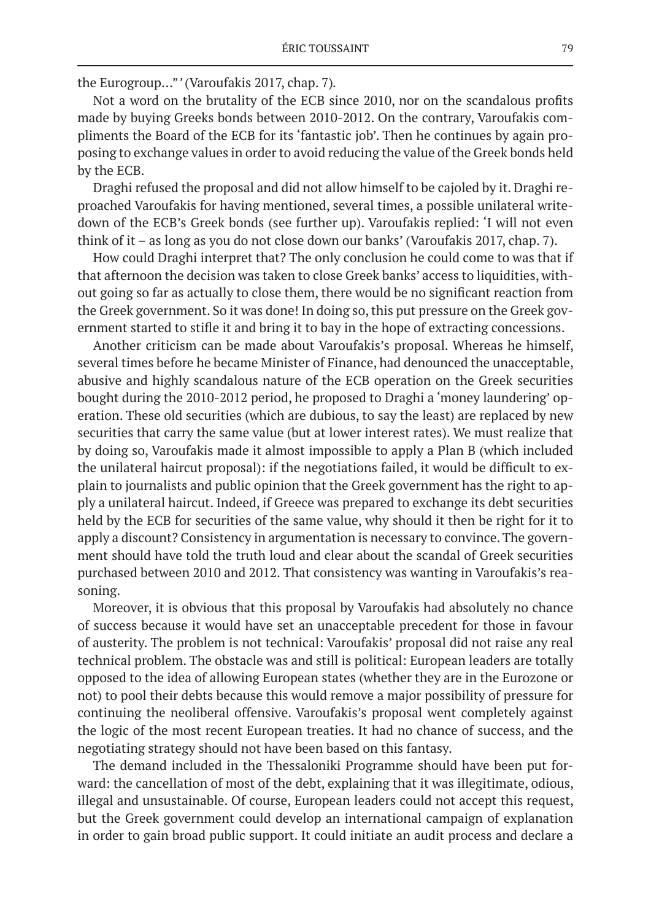the Eurogroup…"*'* (Varoufakis 2017, chap. 7)*.*

Not a word on the brutality of the ECB since 2010, nor on the scandalous profits made by buying Greeks bonds between 2010-2012. On the contrary, Varoufakis compliments the Board of the ECB for its 'fantastic job'. Then he continues by again proposing to exchange values in order to avoid reducing the value of the Greek bonds held by the ECB.

Draghi refused the proposal and did not allow himself to be cajoled by it. Draghi reproached Varoufakis for having mentioned, several times, a possible unilateral writedown of the ECB's Greek bonds (see further up). Varoufakis replied: 'I will not even think of it – as long as you do not close down our banks' (Varoufakis 2017, chap. 7).

How could Draghi interpret that? The only conclusion he could come to was that if that afternoon the decision was taken to close Greek banks' access to liquidities, without going so far as actually to close them, there would be no significant reaction from the Greek government. So it was done! In doing so, this put pressure on the Greek government started to stifle it and bring it to bay in the hope of extracting concessions.

Another criticism can be made about Varoufakis's proposal. Whereas he himself, several times before he became Minister of Finance, had denounced the unacceptable, abusive and highly scandalous nature of the ECB operation on the Greek securities bought during the 2010-2012 period, he proposed to Draghi a 'money laundering' operation. These old securities (which are dubious, to say the least) are replaced by new securities that carry the same value (but at lower interest rates). We must realize that by doing so, Varoufakis made it almost impossible to apply a Plan B (which included the unilateral haircut proposal): if the negotiations failed, it would be difficult to explain to journalists and public opinion that the Greek government has the right to apply a unilateral haircut. Indeed, if Greece was prepared to exchange its debt securities held by the ECB for securities of the same value, why should it then be right for it to apply a discount? Consistency in argumentation is necessary to convince. The government should have told the truth loud and clear about the scandal of Greek securities purchased between 2010 and 2012. That consistency was wanting in Varoufakis's reasoning.

Moreover, it is obvious that this proposal by Varoufakis had absolutely no chance of success because it would have set an unacceptable precedent for those in favour of austerity. The problem is not technical: Varoufakis' proposal did not raise any real technical problem. The obstacle was and still is political: European leaders are totally opposed to the idea of allowing European states (whether they are in the Eurozone or not) to pool their debts because this would remove a major possibility of pressure for continuing the neoliberal offensive. Varoufakis's proposal went completely against the logic of the most recent European treaties. It had no chance of success, and the negotiating strategy should not have been based on this fantasy.

The demand included in the Thessaloniki Programme should have been put forward: the cancellation of most of the debt, explaining that it was illegitimate, odious, illegal and unsustainable. Of course, European leaders could not accept this request, but the Greek government could develop an international campaign of explanation in order to gain broad public support. It could initiate an audit process and declare a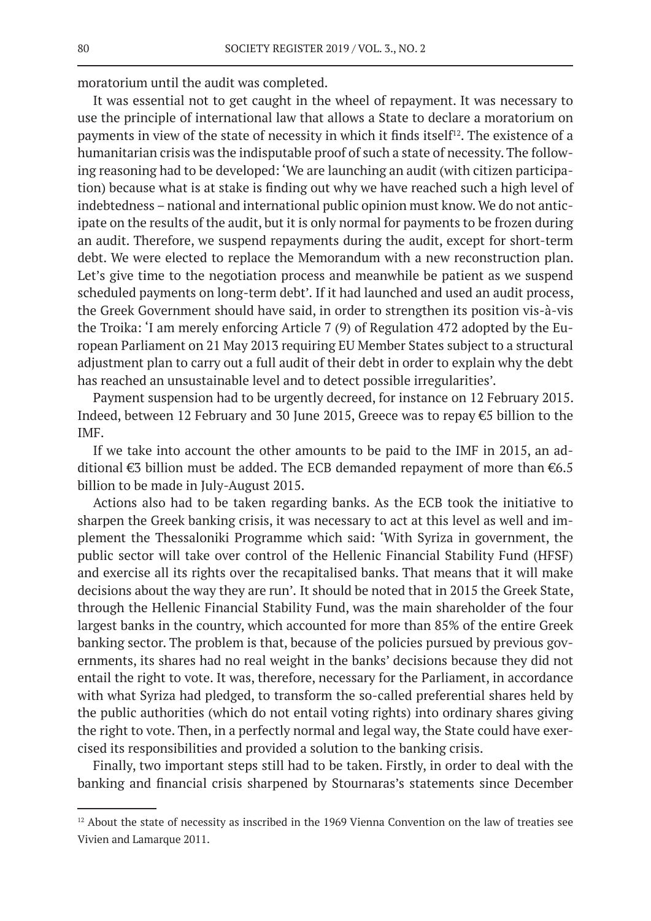moratorium until the audit was completed.

It was essential not to get caught in the wheel of repayment. It was necessary to use the principle of international law that allows a State to declare a moratorium on payments in view of the state of necessity in which it finds itself<sup>12</sup>. The existence of a humanitarian crisis was the indisputable proof of such a state of necessity. The following reasoning had to be developed: 'We are launching an audit (with citizen participation) because what is at stake is finding out why we have reached such a high level of indebtedness – national and international public opinion must know. We do not anticipate on the results of the audit, but it is only normal for payments to be frozen during an audit. Therefore, we suspend repayments during the audit, except for short-term debt. We were elected to replace the Memorandum with a new reconstruction plan. Let's give time to the negotiation process and meanwhile be patient as we suspend scheduled payments on long-term debt'*.* If it had launched and used an audit process, the Greek Government should have said, in order to strengthen its position vis-à-vis the Troika: 'I am merely enforcing Article 7 (9) of Regulation 472 adopted by the European Parliament on 21 May 2013 requiring EU Member States subject to a structural adjustment plan to carry out a full audit of their debt in order to explain why the debt has reached an unsustainable level and to detect possible irregularities'.

Payment suspension had to be urgently decreed, for instance on 12 February 2015. Indeed, between 12 February and 30 June 2015, Greece was to repay €5 billion to the IMF.

If we take into account the other amounts to be paid to the IMF in 2015, an additional €3 billion must be added. The ECB demanded repayment of more than €6.5 billion to be made in July-August 2015.

Actions also had to be taken regarding banks. As the ECB took the initiative to sharpen the Greek banking crisis, it was necessary to act at this level as well and implement the Thessaloniki Programme which said: 'With Syriza in government, the public sector will take over control of the Hellenic Financial Stability Fund (HFSF) and exercise all its rights over the recapitalised banks. That means that it will make decisions about the way they are run'*.* It should be noted that in 2015 the Greek State, through the Hellenic Financial Stability Fund, was the main shareholder of the four largest banks in the country, which accounted for more than 85% of the entire Greek banking sector. The problem is that, because of the policies pursued by previous governments, its shares had no real weight in the banks' decisions because they did not entail the right to vote. It was, therefore, necessary for the Parliament, in accordance with what Syriza had pledged, to transform the so-called preferential shares held by the public authorities (which do not entail voting rights) into ordinary shares giving the right to vote. Then, in a perfectly normal and legal way, the State could have exercised its responsibilities and provided a solution to the banking crisis.

Finally, two important steps still had to be taken. Firstly, in order to deal with the banking and financial crisis sharpened by Stournaras's statements since December

<sup>&</sup>lt;sup>12</sup> About the state of necessity as inscribed in the 1969 Vienna Convention on the law of treaties see Vivien and Lamarque 2011.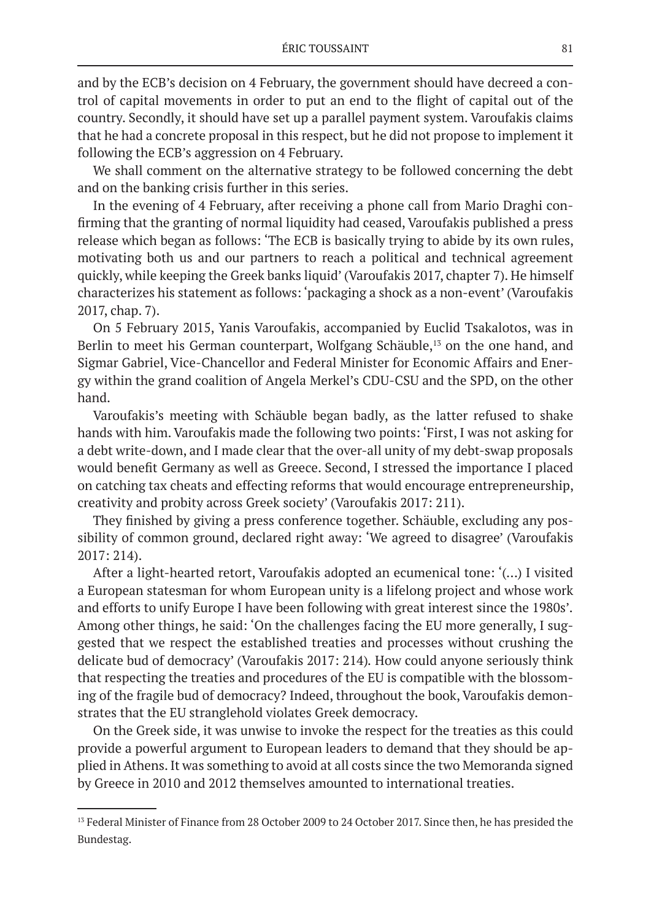and by the ECB's decision on 4 February, the government should have decreed a control of capital movements in order to put an end to the flight of capital out of the country. Secondly, it should have set up a parallel payment system. Varoufakis claims that he had a concrete proposal in this respect, but he did not propose to implement it following the ECB's aggression on 4 February.

We shall comment on the alternative strategy to be followed concerning the debt and on the banking crisis further in this series.

In the evening of 4 February, after receiving a phone call from Mario Draghi confirming that the granting of normal liquidity had ceased, Varoufakis published a press release which began as follows: 'The ECB is basically trying to abide by its own rules, motivating both us and our partners to reach a political and technical agreement quickly, while keeping the Greek banks liquid' (Varoufakis 2017, chapter 7). He himself characterizes his statement as follows: 'packaging a shock as a non-event' (Varoufakis 2017, chap. 7).

On 5 February 2015, Yanis Varoufakis, accompanied by Euclid Tsakalotos, was in Berlin to meet his German counterpart, Wolfgang Schäuble,<sup>13</sup> on the one hand, and Sigmar Gabriel, Vice-Chancellor and Federal Minister for Economic Affairs and Energy within the grand coalition of Angela Merkel's CDU-CSU and the SPD, on the other hand.

Varoufakis's meeting with Schäuble began badly, as the latter refused to shake hands with him. Varoufakis made the following two points: 'First, I was not asking for a debt write-down, and I made clear that the over-all unity of my debt-swap proposals would benefit Germany as well as Greece. Second, I stressed the importance I placed on catching tax cheats and effecting reforms that would encourage entrepreneurship, creativity and probity across Greek society' (Varoufakis 2017: 211).

They finished by giving a press conference together. Schäuble, excluding any possibility of common ground, declared right away: 'We agreed to disagree' (Varoufakis 2017: 214).

After a light-hearted retort, Varoufakis adopted an ecumenical tone: '(…) I visited a European statesman for whom European unity is a lifelong project and whose work and efforts to unify Europe I have been following with great interest since the 1980s'*.* Among other things, he said: 'On the challenges facing the EU more generally, I suggested that we respect the established treaties and processes without crushing the delicate bud of democracy' (Varoufakis 2017: 214)*.* How could anyone seriously think that respecting the treaties and procedures of the EU is compatible with the blossoming of the fragile bud of democracy? Indeed, throughout the book, Varoufakis demonstrates that the EU stranglehold violates Greek democracy.

On the Greek side, it was unwise to invoke the respect for the treaties as this could provide a powerful argument to European leaders to demand that they should be applied in Athens. It was something to avoid at all costs since the two Memoranda signed by Greece in 2010 and 2012 themselves amounted to international treaties.

<sup>&</sup>lt;sup>13</sup> Federal Minister of Finance from 28 October 2009 to 24 October 2017. Since then, he has presided the Bundestag.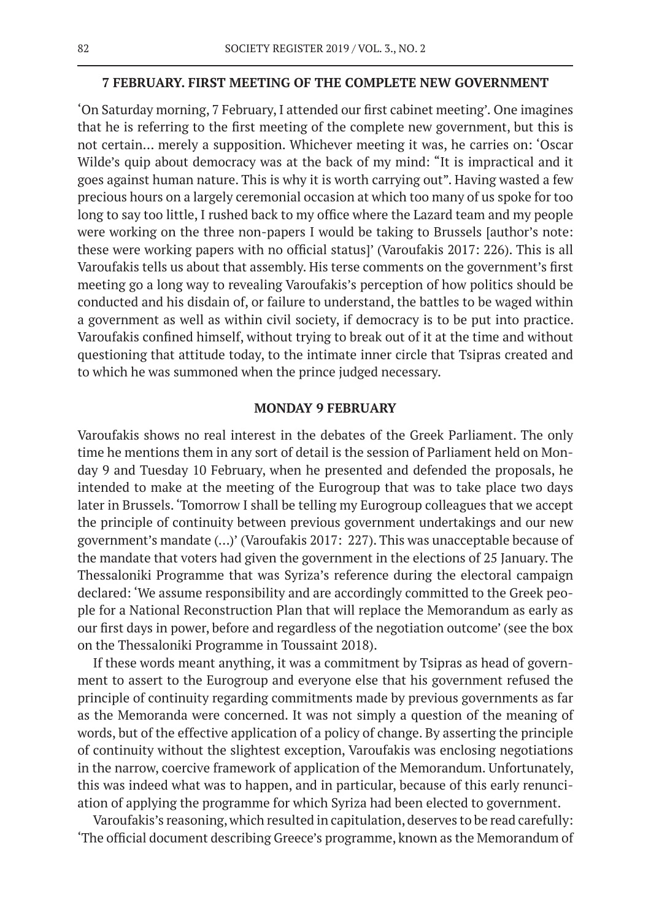#### **7 FEBRUARY. FIRST MEETING OF THE COMPLETE NEW GOVERNMENT**

'On Saturday morning, 7 February, I attended our first cabinet meeting'. One imagines that he is referring to the first meeting of the complete new government, but this is not certain… merely a supposition. Whichever meeting it was, he carries on: 'Oscar Wilde's quip about democracy was at the back of my mind: "It is impractical and it goes against human nature. This is why it is worth carrying out". Having wasted a few precious hours on a largely ceremonial occasion at which too many of us spoke for too long to say too little, I rushed back to my office where the Lazard team and my people were working on the three non-papers I would be taking to Brussels [author's note: these were working papers with no official status]' (Varoufakis 2017: 226). This is all Varoufakis tells us about that assembly. His terse comments on the government's first meeting go a long way to revealing Varoufakis's perception of how politics should be conducted and his disdain of, or failure to understand, the battles to be waged within a government as well as within civil society, if democracy is to be put into practice. Varoufakis confined himself, without trying to break out of it at the time and without questioning that attitude today, to the intimate inner circle that Tsipras created and to which he was summoned when the prince judged necessary.

#### **MONDAY 9 FEBRUARY**

Varoufakis shows no real interest in the debates of the Greek Parliament. The only time he mentions them in any sort of detail is the session of Parliament held on Monday 9 and Tuesday 10 February, when he presented and defended the proposals, he intended to make at the meeting of the Eurogroup that was to take place two days later in Brussels. 'Tomorrow I shall be telling my Eurogroup colleagues that we accept the principle of continuity between previous government undertakings and our new government's mandate (…)' (Varoufakis 2017: 227). This was unacceptable because of the mandate that voters had given the government in the elections of 25 January. The Thessaloniki Programme that was Syriza's reference during the electoral campaign declared: 'We assume responsibility and are accordingly committed to the Greek people for a National Reconstruction Plan that will replace the Memorandum as early as our first days in power, before and regardless of the negotiation outcome' (see the box on the Thessaloniki Programme in Toussaint 2018).

If these words meant anything, it was a commitment by Tsipras as head of government to assert to the Eurogroup and everyone else that his government refused the principle of continuity regarding commitments made by previous governments as far as the Memoranda were concerned. It was not simply a question of the meaning of words, but of the effective application of a policy of change. By asserting the principle of continuity without the slightest exception, Varoufakis was enclosing negotiations in the narrow, coercive framework of application of the Memorandum. Unfortunately, this was indeed what was to happen, and in particular, because of this early renunciation of applying the programme for which Syriza had been elected to government.

Varoufakis's reasoning, which resulted in capitulation, deserves to be read carefully: 'The official document describing Greece's programme, known as the Memorandum of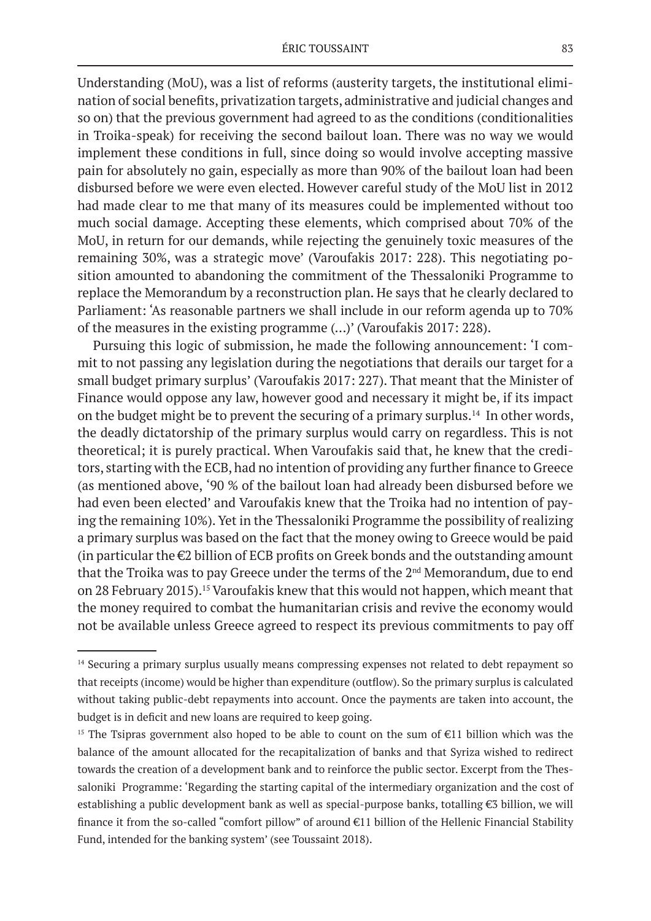Understanding (MoU), was a list of reforms (austerity targets, the institutional elimination of social benefits, privatization targets, administrative and judicial changes and so on) that the previous government had agreed to as the conditions (conditionalities in Troika-speak) for receiving the second bailout loan. There was no way we would implement these conditions in full, since doing so would involve accepting massive pain for absolutely no gain, especially as more than 90% of the bailout loan had been disbursed before we were even elected. However careful study of the MoU list in 2012 had made clear to me that many of its measures could be implemented without too much social damage. Accepting these elements, which comprised about 70% of the MoU, in return for our demands, while rejecting the genuinely toxic measures of the remaining 30%, was a strategic move' (Varoufakis 2017: 228). This negotiating position amounted to abandoning the commitment of the Thessaloniki Programme to replace the Memorandum by a reconstruction plan. He says that he clearly declared to Parliament: 'As reasonable partners we shall include in our reform agenda up to 70% of the measures in the existing programme (…)' (Varoufakis 2017: 228).

Pursuing this logic of submission, he made the following announcement: 'I commit to not passing any legislation during the negotiations that derails our target for a small budget primary surplus' (Varoufakis 2017: 227). That meant that the Minister of Finance would oppose any law, however good and necessary it might be, if its impact on the budget might be to prevent the securing of a primary surplus.14 In other words, the deadly dictatorship of the primary surplus would carry on regardless. This is not theoretical; it is purely practical. When Varoufakis said that, he knew that the creditors, starting with the ECB, had no intention of providing any further finance to Greece (as mentioned above, '90 % of the bailout loan had already been disbursed before we had even been elected' and Varoufakis knew that the Troika had no intention of paying the remaining 10%). Yet in the Thessaloniki Programme the possibility of realizing a primary surplus was based on the fact that the money owing to Greece would be paid (in particular the €2 billion of ECB profits on Greek bonds and the outstanding amount that the Troika was to pay Greece under the terms of the 2<sup>nd</sup> Memorandum, due to end on 28 February 2015).15 Varoufakis knew that this would not happen, which meant that the money required to combat the humanitarian crisis and revive the economy would not be available unless Greece agreed to respect its previous commitments to pay off

<sup>&</sup>lt;sup>14</sup> Securing a primary surplus usually means compressing expenses not related to debt repayment so that receipts (income) would be higher than expenditure (outflow). So the primary surplus is calculated without taking public-debt repayments into account. Once the payments are taken into account, the budget is in deficit and new loans are required to keep going.

<sup>&</sup>lt;sup>15</sup> The Tsipras government also hoped to be able to count on the sum of  $E11$  billion which was the balance of the amount allocated for the recapitalization of banks and that Syriza wished to redirect towards the creation of a development bank and to reinforce the public sector. Excerpt from the Thessaloniki Programme: 'Regarding the starting capital of the intermediary organization and the cost of establishing a public development bank as well as special-purpose banks, totalling €3 billion, we will finance it from the so-called "comfort pillow" of around €11 billion of the Hellenic Financial Stability Fund, intended for the banking system' (see Toussaint 2018).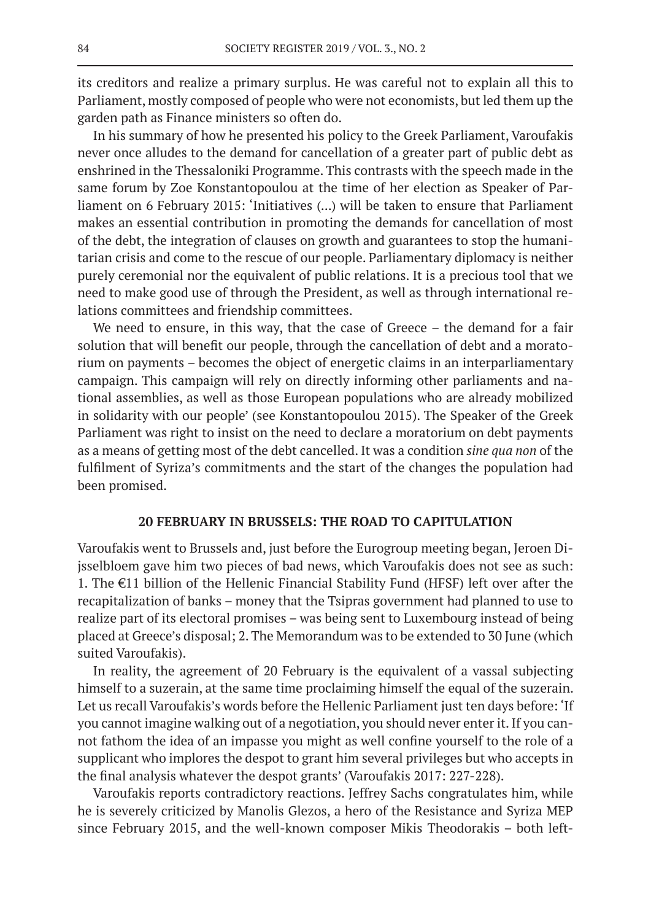its creditors and realize a primary surplus. He was careful not to explain all this to Parliament, mostly composed of people who were not economists, but led them up the garden path as Finance ministers so often do.

In his summary of how he presented his policy to the Greek Parliament, Varoufakis never once alludes to the demand for cancellation of a greater part of public debt as enshrined in the Thessaloniki Programme. This contrasts with the speech made in the same forum by Zoe Konstantopoulou at the time of her election as Speaker of Parliament on 6 February 2015: 'Initiatives (...) will be taken to ensure that Parliament makes an essential contribution in promoting the demands for cancellation of most of the debt, the integration of clauses on growth and guarantees to stop the humanitarian crisis and come to the rescue of our people. Parliamentary diplomacy is neither purely ceremonial nor the equivalent of public relations. It is a precious tool that we need to make good use of through the President, as well as through international relations committees and friendship committees.

We need to ensure, in this way, that the case of Greece – the demand for a fair solution that will benefit our people, through the cancellation of debt and a moratorium on payments – becomes the object of energetic claims in an interparliamentary campaign. This campaign will rely on directly informing other parliaments and national assemblies, as well as those European populations who are already mobilized in solidarity with our people' (see Konstantopoulou 2015). The Speaker of the Greek Parliament was right to insist on the need to declare a moratorium on debt payments as a means of getting most of the debt cancelled. It was a condition *sine qua non* of the fulfilment of Syriza's commitments and the start of the changes the population had been promised.

## **20 FEBRUARY IN BRUSSELS: THE ROAD TO CAPITULATION**

Varoufakis went to Brussels and, just before the Eurogroup meeting began, Jeroen Dijsselbloem gave him two pieces of bad news, which Varoufakis does not see as such: 1. The €11 billion of the Hellenic Financial Stability Fund (HFSF) left over after the recapitalization of banks – money that the Tsipras government had planned to use to realize part of its electoral promises – was being sent to Luxembourg instead of being placed at Greece's disposal; 2. The Memorandum was to be extended to 30 June (which suited Varoufakis).

In reality, the agreement of 20 February is the equivalent of a vassal subjecting himself to a suzerain, at the same time proclaiming himself the equal of the suzerain. Let us recall Varoufakis's words before the Hellenic Parliament just ten days before: 'If you cannot imagine walking out of a negotiation, you should never enter it. If you cannot fathom the idea of an impasse you might as well confine yourself to the role of a supplicant who implores the despot to grant him several privileges but who accepts in the final analysis whatever the despot grants' (Varoufakis 2017: 227-228).

Varoufakis reports contradictory reactions. Jeffrey Sachs congratulates him, while he is severely criticized by Manolis Glezos, a hero of the Resistance and Syriza MEP since February 2015, and the well-known composer Mikis Theodorakis – both left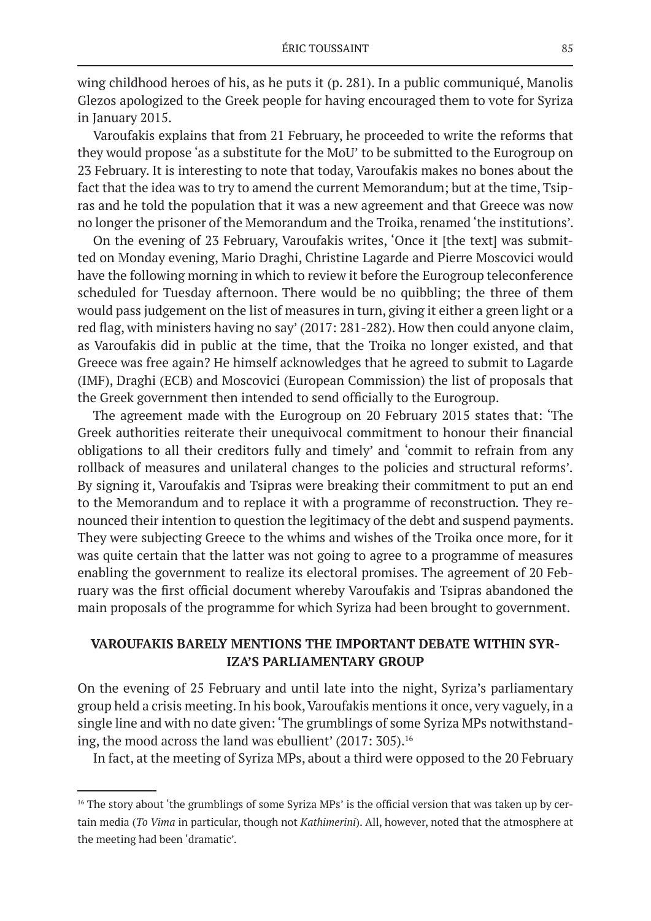wing childhood heroes of his, as he puts it (p. 281). In a public communiqué, Manolis Glezos apologized to the Greek people for having encouraged them to vote for Syriza in January 2015.

Varoufakis explains that from 21 February, he proceeded to write the reforms that they would propose 'as a substitute for the MoU' to be submitted to the Eurogroup on 23 February. It is interesting to note that today, Varoufakis makes no bones about the fact that the idea was to try to amend the current Memorandum; but at the time, Tsipras and he told the population that it was a new agreement and that Greece was now no longer the prisoner of the Memorandum and the Troika, renamed 'the institutions'.

On the evening of 23 February, Varoufakis writes, 'Once it [the text] was submitted on Monday evening, Mario Draghi, Christine Lagarde and Pierre Moscovici would have the following morning in which to review it before the Eurogroup teleconference scheduled for Tuesday afternoon. There would be no quibbling; the three of them would pass judgement on the list of measures in turn, giving it either a green light or a red flag, with ministers having no say' (2017: 281-282). How then could anyone claim, as Varoufakis did in public at the time, that the Troika no longer existed, and that Greece was free again? He himself acknowledges that he agreed to submit to Lagarde (IMF), Draghi (ECB) and Moscovici (European Commission) the list of proposals that the Greek government then intended to send officially to the Eurogroup.

The agreement made with the Eurogroup on 20 February 2015 states that: 'The Greek authorities reiterate their unequivocal commitment to honour their financial obligations to all their creditors fully and timely' and 'commit to refrain from any rollback of measures and unilateral changes to the policies and structural reforms'*.* By signing it, Varoufakis and Tsipras were breaking their commitment to put an end to the Memorandum and to replace it with a programme of reconstruction*.* They renounced their intention to question the legitimacy of the debt and suspend payments. They were subjecting Greece to the whims and wishes of the Troika once more, for it was quite certain that the latter was not going to agree to a programme of measures enabling the government to realize its electoral promises. The agreement of 20 February was the first official document whereby Varoufakis and Tsipras abandoned the main proposals of the programme for which Syriza had been brought to government.

# **VAROUFAKIS BARELY MENTIONS THE IMPORTANT DEBATE WITHIN SYR-IZA'S PARLIAMENTARY GROUP**

On the evening of 25 February and until late into the night, Syriza's parliamentary group held a crisis meeting. In his book, Varoufakis mentions it once, very vaguely, in a single line and with no date given: 'The grumblings of some Syriza MPs notwithstanding, the mood across the land was ebullient' (2017: 305).<sup>16</sup>

In fact, at the meeting of Syriza MPs, about a third were opposed to the 20 February

<sup>&</sup>lt;sup>16</sup> The story about 'the grumblings of some Syriza MPs' is the official version that was taken up by certain media (*To Vima* in particular, though not *Kathimerini*). All, however, noted that the atmosphere at the meeting had been 'dramatic'.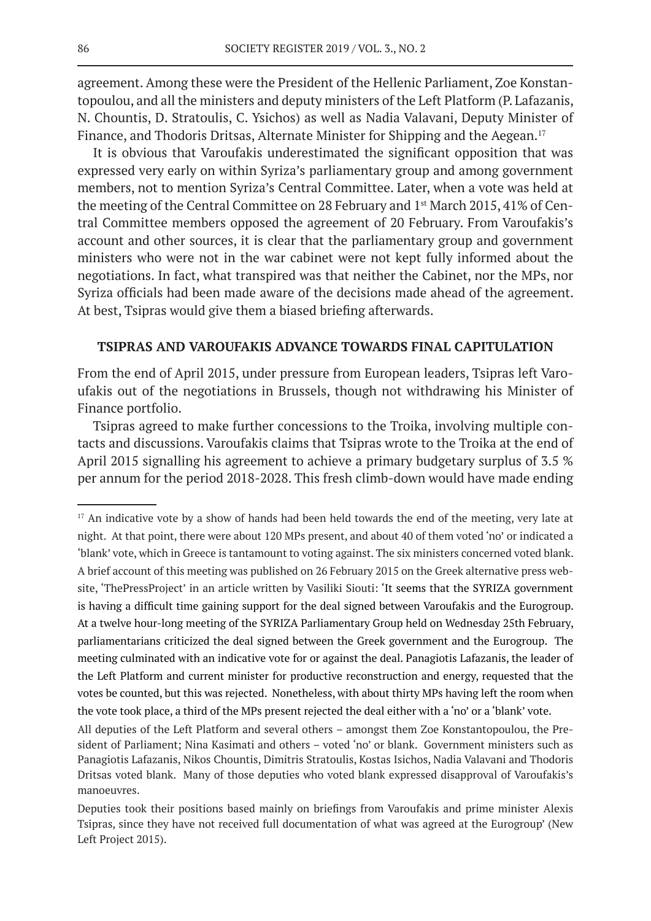agreement. Among these were the President of the Hellenic Parliament, Zoe Konstantopoulou, and all the ministers and deputy ministers of the Left Platform (P. Lafazanis, N. Chountis, D. Stratoulis, C. Ysichos) as well as Nadia Valavani, Deputy Minister of Finance, and Thodoris Dritsas, Alternate Minister for Shipping and the Aegean.<sup>17</sup>

It is obvious that Varoufakis underestimated the significant opposition that was expressed very early on within Syriza's parliamentary group and among government members, not to mention Syriza's Central Committee. Later, when a vote was held at the meeting of the Central Committee on 28 February and 1st March 2015, 41% of Central Committee members opposed the agreement of 20 February. From Varoufakis's account and other sources, it is clear that the parliamentary group and government ministers who were not in the war cabinet were not kept fully informed about the negotiations. In fact, what transpired was that neither the Cabinet, nor the MPs, nor Syriza officials had been made aware of the decisions made ahead of the agreement. At best, Tsipras would give them a biased briefing afterwards.

#### **TSIPRAS AND VAROUFAKIS ADVANCE TOWARDS FINAL CAPITULATION**

From the end of April 2015, under pressure from European leaders, Tsipras left Varoufakis out of the negotiations in Brussels, though not withdrawing his Minister of Finance portfolio.

Tsipras agreed to make further concessions to the Troika, involving multiple contacts and discussions. Varoufakis claims that Tsipras wrote to the Troika at the end of April 2015 signalling his agreement to achieve a primary budgetary surplus of 3.5 % per annum for the period 2018-2028. This fresh climb-down would have made ending

<sup>&</sup>lt;sup>17</sup> An indicative vote by a show of hands had been held towards the end of the meeting, very late at night. At that point, there were about 120 MPs present, and about 40 of them voted 'no' or indicated a 'blank' vote, which in Greece is tantamount to voting against. The six ministers concerned voted blank. A brief account of this meeting was published on 26 February 2015 on the Greek alternative press website, 'ThePressProject' in an article written by Vasiliki Siouti: 'It seems that the SYRIZA government is having a difficult time gaining support for the deal signed between Varoufakis and the Eurogroup. At a twelve hour-long meeting of the SYRIZA Parliamentary Group held on Wednesday 25th February, parliamentarians criticized the deal signed between the Greek government and the Eurogroup. The meeting culminated with an indicative vote for or against the deal. Panagiotis Lafazanis, the leader of the Left Platform and current minister for productive reconstruction and energy, requested that the votes be counted, but this was rejected. Nonetheless, with about thirty MPs having left the room when the vote took place, a third of the MPs present rejected the deal either with a 'no' or a 'blank' vote.

All deputies of the Left Platform and several others – amongst them Zoe Konstantopoulou, the President of Parliament; Nina Kasimati and others – voted 'no' or blank. Government ministers such as Panagiotis Lafazanis, Nikos Chountis, Dimitris Stratoulis, Kostas Isichos, Nadia Valavani and Thodoris Dritsas voted blank. Many of those deputies who voted blank expressed disapproval of Varoufakis's manoeuvres.

Deputies took their positions based mainly on briefings from Varoufakis and prime minister Alexis Tsipras, since they have not received full documentation of what was agreed at the Eurogroup' (New Left Project 2015).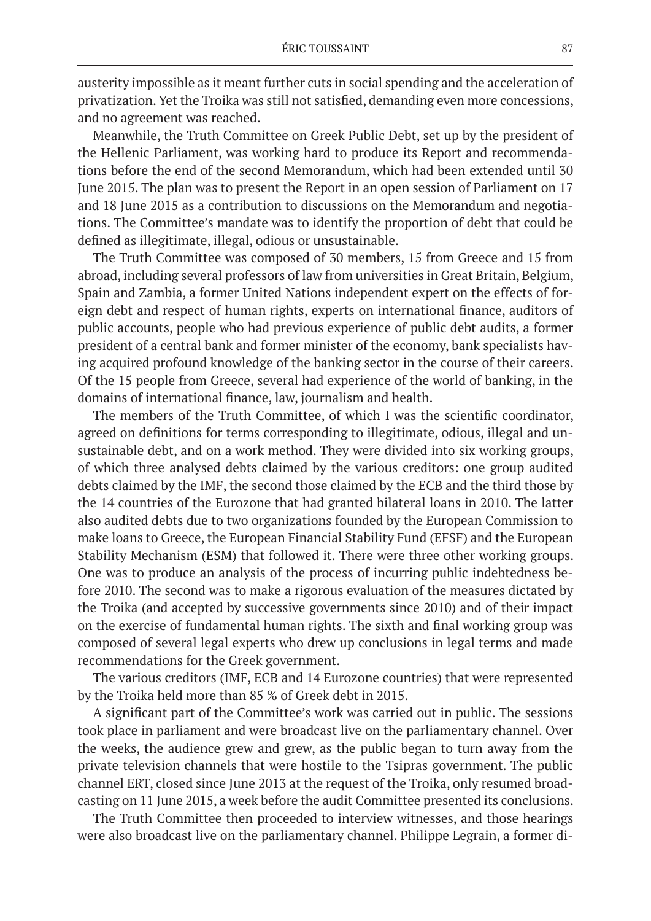austerity impossible as it meant further cuts in social spending and the acceleration of privatization. Yet the Troika was still not satisfied, demanding even more concessions, and no agreement was reached.

Meanwhile, the Truth Committee on Greek Public Debt, set up by the president of the Hellenic Parliament, was working hard to produce its Report and recommendations before the end of the second Memorandum, which had been extended until 30 June 2015. The plan was to present the Report in an open session of Parliament on 17 and 18 June 2015 as a contribution to discussions on the Memorandum and negotiations. The Committee's mandate was to identify the proportion of debt that could be defined as illegitimate, illegal, odious or unsustainable.

The Truth Committee was composed of 30 members, 15 from Greece and 15 from abroad, including several professors of law from universities in Great Britain, Belgium, Spain and Zambia, a former United Nations independent expert on the effects of foreign debt and respect of human rights, experts on international finance, auditors of public accounts, people who had previous experience of public debt audits, a former president of a central bank and former minister of the economy, bank specialists having acquired profound knowledge of the banking sector in the course of their careers. Of the 15 people from Greece, several had experience of the world of banking, in the domains of international finance, law, journalism and health.

The members of the Truth Committee, of which I was the scientific coordinator, agreed on definitions for terms corresponding to illegitimate, odious, illegal and unsustainable debt, and on a work method. They were divided into six working groups, of which three analysed debts claimed by the various creditors: one group audited debts claimed by the IMF, the second those claimed by the ECB and the third those by the 14 countries of the Eurozone that had granted bilateral loans in 2010. The latter also audited debts due to two organizations founded by the European Commission to make loans to Greece, the European Financial Stability Fund (EFSF) and the European Stability Mechanism (ESM) that followed it. There were three other working groups. One was to produce an analysis of the process of incurring public indebtedness before 2010. The second was to make a rigorous evaluation of the measures dictated by the Troika (and accepted by successive governments since 2010) and of their impact on the exercise of fundamental human rights. The sixth and final working group was composed of several legal experts who drew up conclusions in legal terms and made recommendations for the Greek government.

The various creditors (IMF, ECB and 14 Eurozone countries) that were represented by the Troika held more than 85 % of Greek debt in 2015.

A significant part of the Committee's work was carried out in public. The sessions took place in parliament and were broadcast live on the parliamentary channel. Over the weeks, the audience grew and grew, as the public began to turn away from the private television channels that were hostile to the Tsipras government. The public channel ERT, closed since June 2013 at the request of the Troika, only resumed broadcasting on 11 June 2015, a week before the audit Committee presented its conclusions.

The Truth Committee then proceeded to interview witnesses, and those hearings were also broadcast live on the parliamentary channel. Philippe Legrain, a former di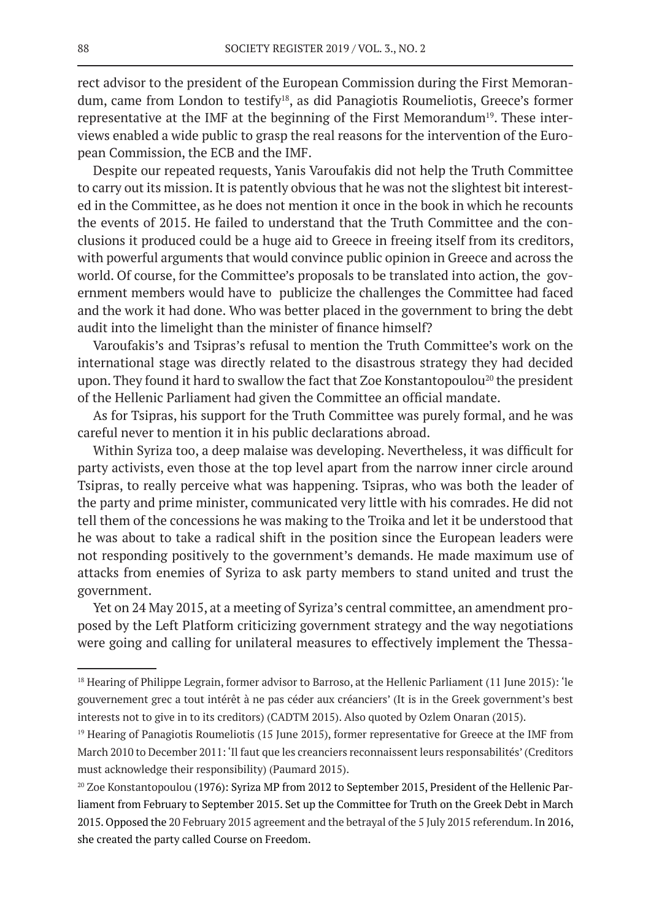rect advisor to the president of the European Commission during the First Memorandum, came from London to testify<sup>18</sup>, as did Panagiotis Roumeliotis, Greece's former representative at the IMF at the beginning of the First Memorandum<sup>19</sup>. These interviews enabled a wide public to grasp the real reasons for the intervention of the European Commission, the ECB and the IMF.

Despite our repeated requests, Yanis Varoufakis did not help the Truth Committee to carry out its mission. It is patently obvious that he was not the slightest bit interested in the Committee, as he does not mention it once in the book in which he recounts the events of 2015. He failed to understand that the Truth Committee and the conclusions it produced could be a huge aid to Greece in freeing itself from its creditors, with powerful arguments that would convince public opinion in Greece and across the world. Of course, for the Committee's proposals to be translated into action, the government members would have to publicize the challenges the Committee had faced and the work it had done. Who was better placed in the government to bring the debt audit into the limelight than the minister of finance himself?

Varoufakis's and Tsipras's refusal to mention the Truth Committee's work on the international stage was directly related to the disastrous strategy they had decided upon. They found it hard to swallow the fact that Zoe Konstantopoulou<sup>20</sup> the president of the Hellenic Parliament had given the Committee an official mandate.

As for Tsipras, his support for the Truth Committee was purely formal, and he was careful never to mention it in his public declarations abroad.

Within Syriza too, a deep malaise was developing. Nevertheless, it was difficult for party activists, even those at the top level apart from the narrow inner circle around Tsipras, to really perceive what was happening. Tsipras, who was both the leader of the party and prime minister, communicated very little with his comrades. He did not tell them of the concessions he was making to the Troika and let it be understood that he was about to take a radical shift in the position since the European leaders were not responding positively to the government's demands. He made maximum use of attacks from enemies of Syriza to ask party members to stand united and trust the government.

Yet on 24 May 2015, at a meeting of Syriza's central committee, an amendment proposed by the Left Platform criticizing government strategy and the way negotiations were going and calling for unilateral measures to effectively implement the Thessa-

<sup>&</sup>lt;sup>18</sup> Hearing of Philippe Legrain, former advisor to Barroso, at the Hellenic Parliament (11 June 2015): 'le gouvernement grec a tout intérêt à ne pas céder aux créanciers' (It is in the Greek government's best interests not to give in to its creditors) (CADTM 2015). Also quoted by Ozlem Onaran (2015).

<sup>&</sup>lt;sup>19</sup> Hearing of Panagiotis Roumeliotis (15 June 2015), former representative for Greece at the IMF from March 2010 to December 2011: 'Il faut que les creanciers reconnaissent leurs responsabilités' (Creditors must acknowledge their responsibility) (Paumard 2015).

<sup>&</sup>lt;sup>20</sup> Zoe Konstantopoulou (1976): Syriza MP from 2012 to September 2015, President of the Hellenic Parliament from February to September 2015. Set up the Committee for Truth on the Greek Debt in March 2015. Opposed the 20 February 2015 agreement and the betrayal of the 5 July 2015 referendum. In 2016, she created the party called Course on Freedom.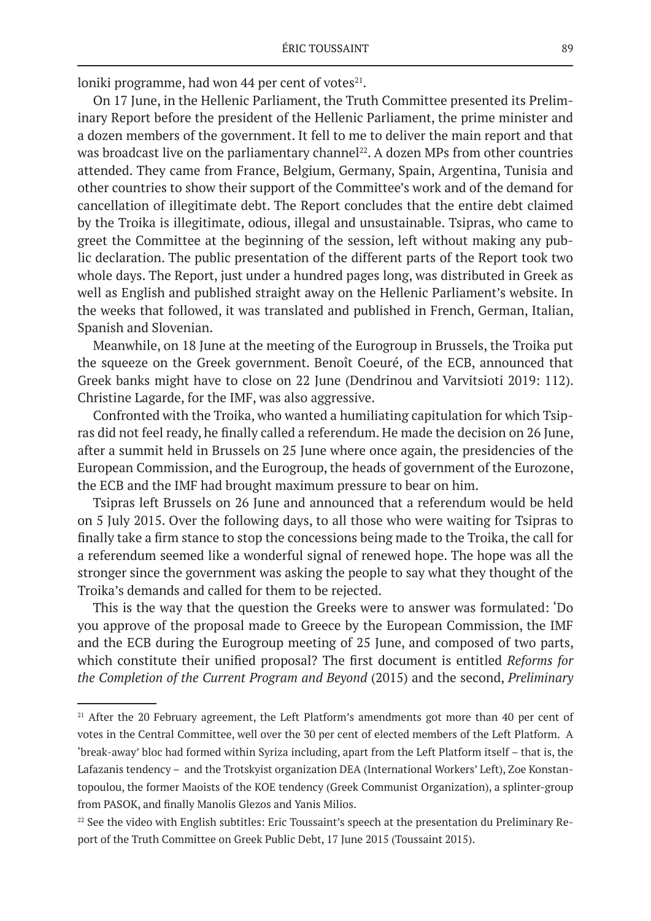loniki programme, had won  $44$  per cent of votes $^{21}$ .

On 17 June, in the Hellenic Parliament, the Truth Committee presented its Preliminary Report before the president of the Hellenic Parliament, the prime minister and a dozen members of the government. It fell to me to deliver the main report and that was broadcast live on the parliamentary channel<sup>22</sup>. A dozen MPs from other countries attended. They came from France, Belgium, Germany, Spain, Argentina, Tunisia and other countries to show their support of the Committee's work and of the demand for cancellation of illegitimate debt. The Report concludes that the entire debt claimed by the Troika is illegitimate, odious, illegal and unsustainable. Tsipras, who came to greet the Committee at the beginning of the session, left without making any public declaration. The public presentation of the different parts of the Report took two whole days. The Report, just under a hundred pages long, was distributed in Greek as well as English and published straight away on the Hellenic Parliament's website. In the weeks that followed, it was translated and published in French, German, Italian, Spanish and Slovenian.

Meanwhile, on 18 June at the meeting of the Eurogroup in Brussels, the Troika put the squeeze on the Greek government. Benoît Coeuré, of the ECB, announced that Greek banks might have to close on 22 June (Dendrinou and Varvitsioti 2019: 112). Christine Lagarde, for the IMF, was also aggressive.

Confronted with the Troika, who wanted a humiliating capitulation for which Tsipras did not feel ready, he finally called a referendum. He made the decision on 26 June, after a summit held in Brussels on 25 June where once again, the presidencies of the European Commission, and the Eurogroup, the heads of government of the Eurozone, the ECB and the IMF had brought maximum pressure to bear on him.

Tsipras left Brussels on 26 June and announced that a referendum would be held on 5 July 2015. Over the following days, to all those who were waiting for Tsipras to finally take a firm stance to stop the concessions being made to the Troika, the call for a referendum seemed like a wonderful signal of renewed hope. The hope was all the stronger since the government was asking the people to say what they thought of the Troika's demands and called for them to be rejected.

This is the way that the question the Greeks were to answer was formulated: 'Do you approve of the proposal made to Greece by the European Commission, the IMF and the ECB during the Eurogroup meeting of 25 June, and composed of two parts, which constitute their unified proposal? The first document is entitled *Reforms for the Completion of the Current Program and Beyond* (2015) and the second, *Preliminary* 

<sup>&</sup>lt;sup>21</sup> After the 20 February agreement, the Left Platform's amendments got more than 40 per cent of votes in the Central Committee, well over the 30 per cent of elected members of the Left Platform. A 'break-away' bloc had formed within Syriza including, apart from the Left Platform itself – that is, the Lafazanis tendency – and the Trotskyist organization DEA (International Workers' Left), Zoe Konstantopoulou, the former Maoists of the KOE tendency (Greek Communist Organization), a splinter-group from PASOK, and finally Manolis Glezos and Yanis Milios.

<sup>&</sup>lt;sup>22</sup> See the video with English subtitles: Eric Toussaint's speech at the presentation du Preliminary Report of the Truth Committee on Greek Public Debt, 17 June 2015 (Toussaint 2015).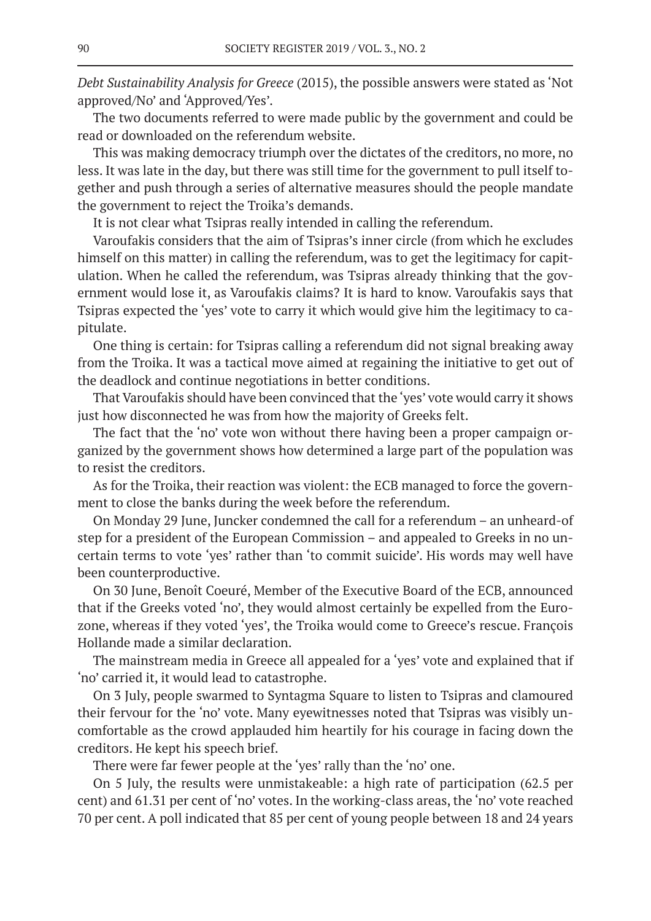*Debt Sustainability Analysis for Greece* (2015), the possible answers were stated as 'Not approved/No' and 'Approved/Yes'.

The two documents referred to were made public by the government and could be read or downloaded on the referendum website.

This was making democracy triumph over the dictates of the creditors, no more, no less. It was late in the day, but there was still time for the government to pull itself together and push through a series of alternative measures should the people mandate the government to reject the Troika's demands.

It is not clear what Tsipras really intended in calling the referendum.

Varoufakis considers that the aim of Tsipras's inner circle (from which he excludes himself on this matter) in calling the referendum, was to get the legitimacy for capitulation. When he called the referendum, was Tsipras already thinking that the government would lose it, as Varoufakis claims? It is hard to know. Varoufakis says that Tsipras expected the 'yes' vote to carry it which would give him the legitimacy to capitulate.

One thing is certain: for Tsipras calling a referendum did not signal breaking away from the Troika. It was a tactical move aimed at regaining the initiative to get out of the deadlock and continue negotiations in better conditions.

That Varoufakis should have been convinced that the 'yes' vote would carry it shows just how disconnected he was from how the majority of Greeks felt.

The fact that the 'no' vote won without there having been a proper campaign organized by the government shows how determined a large part of the population was to resist the creditors.

As for the Troika, their reaction was violent: the ECB managed to force the government to close the banks during the week before the referendum.

On Monday 29 June, Juncker condemned the call for a referendum – an unheard-of step for a president of the European Commission – and appealed to Greeks in no uncertain terms to vote 'yes' rather than 'to commit suicide'. His words may well have been counterproductive.

On 30 June, Benoît Coeuré, Member of the Executive Board of the ECB, announced that if the Greeks voted 'no', they would almost certainly be expelled from the Eurozone, whereas if they voted 'yes', the Troika would come to Greece's rescue. François Hollande made a similar declaration.

The mainstream media in Greece all appealed for a 'yes' vote and explained that if 'no' carried it, it would lead to catastrophe.

On 3 July, people swarmed to Syntagma Square to listen to Tsipras and clamoured their fervour for the 'no' vote. Many eyewitnesses noted that Tsipras was visibly uncomfortable as the crowd applauded him heartily for his courage in facing down the creditors. He kept his speech brief.

There were far fewer people at the 'yes' rally than the 'no' one.

On 5 July, the results were unmistakeable: a high rate of participation (62.5 per cent) and 61.31 per cent of 'no' votes. In the working-class areas, the 'no' vote reached 70 per cent. A poll indicated that 85 per cent of young people between 18 and 24 years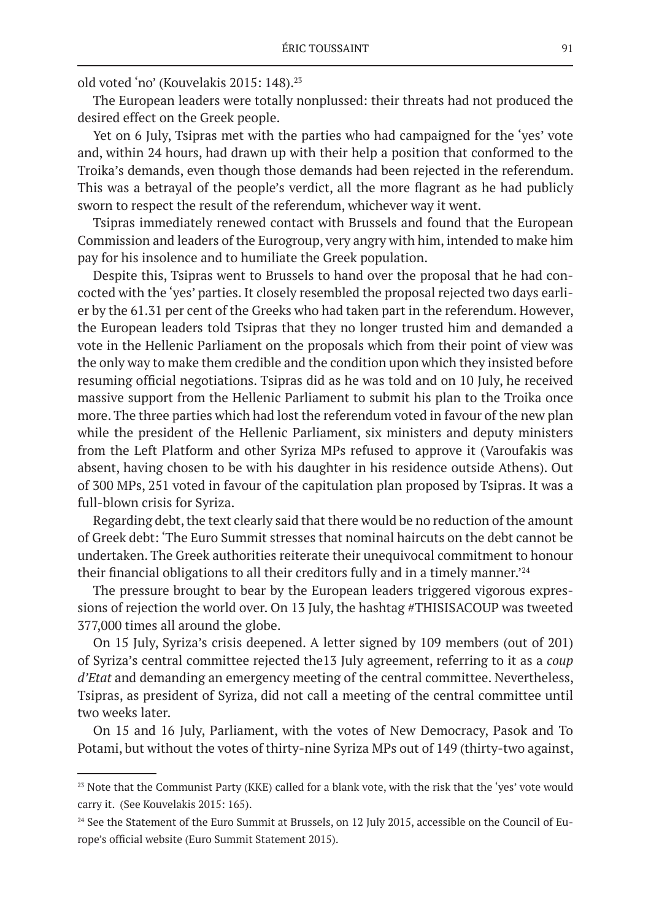old voted 'no' (Kouvelakis 2015: 148).<sup>23</sup>

The European leaders were totally nonplussed: their threats had not produced the desired effect on the Greek people.

Yet on 6 July, Tsipras met with the parties who had campaigned for the 'yes' vote and, within 24 hours, had drawn up with their help a position that conformed to the Troika's demands, even though those demands had been rejected in the referendum. This was a betrayal of the people's verdict, all the more flagrant as he had publicly sworn to respect the result of the referendum, whichever way it went.

Tsipras immediately renewed contact with Brussels and found that the European Commission and leaders of the Eurogroup, very angry with him, intended to make him pay for his insolence and to humiliate the Greek population.

Despite this, Tsipras went to Brussels to hand over the proposal that he had concocted with the 'yes' parties. It closely resembled the proposal rejected two days earlier by the 61.31 per cent of the Greeks who had taken part in the referendum. However, the European leaders told Tsipras that they no longer trusted him and demanded a vote in the Hellenic Parliament on the proposals which from their point of view was the only way to make them credible and the condition upon which they insisted before resuming official negotiations. Tsipras did as he was told and on 10 July, he received massive support from the Hellenic Parliament to submit his plan to the Troika once more. The three parties which had lost the referendum voted in favour of the new plan while the president of the Hellenic Parliament, six ministers and deputy ministers from the Left Platform and other Syriza MPs refused to approve it (Varoufakis was absent, having chosen to be with his daughter in his residence outside Athens). Out of 300 MPs, 251 voted in favour of the capitulation plan proposed by Tsipras. It was a full-blown crisis for Syriza.

Regarding debt, the text clearly said that there would be no reduction of the amount of Greek debt: 'The Euro Summit stresses that nominal haircuts on the debt cannot be undertaken. The Greek authorities reiterate their unequivocal commitment to honour their financial obligations to all their creditors fully and in a timely manner.'<sup>24</sup>

The pressure brought to bear by the European leaders triggered vigorous expressions of rejection the world over. On 13 July, the hashtag #THISISACOUP was tweeted 377,000 times all around the globe.

On 15 July, Syriza's crisis deepened. A letter signed by 109 members (out of 201) of Syriza's central committee rejected the13 July agreement, referring to it as a *coup d'Etat* and demanding an emergency meeting of the central committee. Nevertheless, Tsipras, as president of Syriza, did not call a meeting of the central committee until two weeks later.

On 15 and 16 July, Parliament, with the votes of New Democracy, Pasok and To Potami, but without the votes of thirty-nine Syriza MPs out of 149 (thirty-two against,

<sup>&</sup>lt;sup>23</sup> Note that the Communist Party (KKE) called for a blank vote, with the risk that the 'yes' vote would carry it. (See Kouvelakis 2015: 165).

<sup>&</sup>lt;sup>24</sup> See the Statement of the Euro Summit at Brussels, on 12 July 2015, accessible on the Council of Europe's official website (Euro Summit Statement 2015).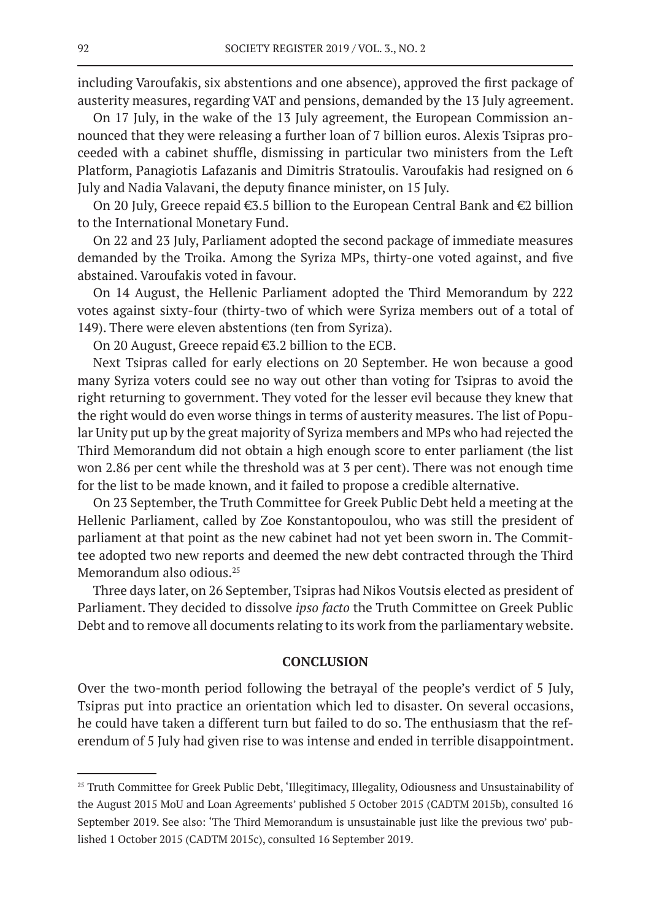including Varoufakis, six abstentions and one absence), approved the first package of austerity measures, regarding VAT and pensions, demanded by the 13 July agreement.

On 17 July, in the wake of the 13 July agreement, the European Commission announced that they were releasing a further loan of 7 billion euros. Alexis Tsipras proceeded with a cabinet shuffle, dismissing in particular two ministers from the Left Platform, Panagiotis Lafazanis and Dimitris Stratoulis. Varoufakis had resigned on 6 July and Nadia Valavani, the deputy finance minister, on 15 July.

On 20 July, Greece repaid €3.5 billion to the European Central Bank and €2 billion to the International Monetary Fund.

On 22 and 23 July, Parliament adopted the second package of immediate measures demanded by the Troika. Among the Syriza MPs, thirty-one voted against, and five abstained. Varoufakis voted in favour.

On 14 August, the Hellenic Parliament adopted the Third Memorandum by 222 votes against sixty-four (thirty-two of which were Syriza members out of a total of 149). There were eleven abstentions (ten from Syriza).

On 20 August, Greece repaid €3.2 billion to the ECB.

Next Tsipras called for early elections on 20 September. He won because a good many Syriza voters could see no way out other than voting for Tsipras to avoid the right returning to government. They voted for the lesser evil because they knew that the right would do even worse things in terms of austerity measures. The list of Popular Unity put up by the great majority of Syriza members and MPs who had rejected the Third Memorandum did not obtain a high enough score to enter parliament (the list won 2.86 per cent while the threshold was at 3 per cent). There was not enough time for the list to be made known, and it failed to propose a credible alternative.

On 23 September, the Truth Committee for Greek Public Debt held a meeting at the Hellenic Parliament, called by Zoe Konstantopoulou, who was still the president of parliament at that point as the new cabinet had not yet been sworn in. The Committee adopted two new reports and deemed the new debt contracted through the Third Memorandum also odious.<sup>25</sup>

Three days later, on 26 September, Tsipras had Nikos Voutsis elected as president of Parliament. They decided to dissolve *ipso facto* the Truth Committee on Greek Public Debt and to remove all documents relating to its work from the parliamentary website.

#### **CONCLUSION**

Over the two-month period following the betrayal of the people's verdict of 5 July, Tsipras put into practice an orientation which led to disaster. On several occasions, he could have taken a different turn but failed to do so. The enthusiasm that the referendum of 5 July had given rise to was intense and ended in terrible disappointment.

<sup>&</sup>lt;sup>25</sup> Truth Committee for Greek Public Debt, 'Illegitimacy, Illegality, Odiousness and Unsustainability of the August 2015 MoU and Loan Agreements' published 5 October 2015 (CADTM 2015b), consulted 16 September 2019. See also: 'The Third Memorandum is unsustainable just like the previous two' published 1 October 2015 (CADTM 2015c), consulted 16 September 2019.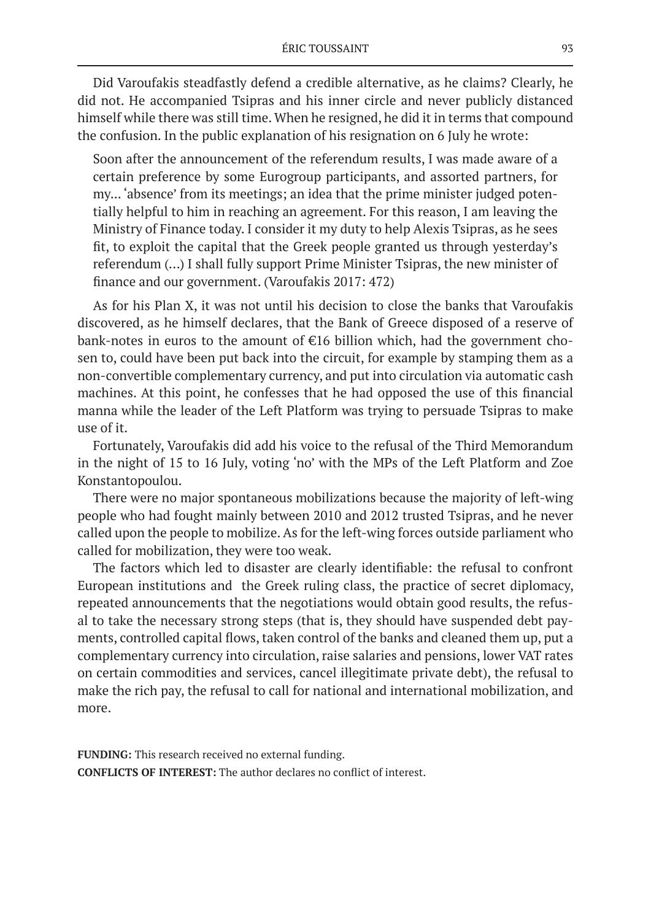Did Varoufakis steadfastly defend a credible alternative, as he claims? Clearly, he did not. He accompanied Tsipras and his inner circle and never publicly distanced himself while there was still time. When he resigned, he did it in terms that compound the confusion. In the public explanation of his resignation on 6 July he wrote:

Soon after the announcement of the referendum results, I was made aware of a certain preference by some Eurogroup participants, and assorted partners, for my... 'absence' from its meetings; an idea that the prime minister judged potentially helpful to him in reaching an agreement. For this reason, I am leaving the Ministry of Finance today. I consider it my duty to help Alexis Tsipras, as he sees fit, to exploit the capital that the Greek people granted us through yesterday's referendum (…) I shall fully support Prime Minister Tsipras, the new minister of finance and our government. (Varoufakis 2017: 472)

As for his Plan X, it was not until his decision to close the banks that Varoufakis discovered, as he himself declares, that the Bank of Greece disposed of a reserve of bank-notes in euros to the amount of €16 billion which, had the government chosen to, could have been put back into the circuit, for example by stamping them as a non-convertible complementary currency, and put into circulation via automatic cash machines. At this point, he confesses that he had opposed the use of this financial manna while the leader of the Left Platform was trying to persuade Tsipras to make use of it.

Fortunately, Varoufakis did add his voice to the refusal of the Third Memorandum in the night of 15 to 16 July, voting 'no' with the MPs of the Left Platform and Zoe Konstantopoulou.

There were no major spontaneous mobilizations because the majority of left-wing people who had fought mainly between 2010 and 2012 trusted Tsipras, and he never called upon the people to mobilize. As for the left-wing forces outside parliament who called for mobilization, they were too weak.

The factors which led to disaster are clearly identifiable: the refusal to confront European institutions and the Greek ruling class, the practice of secret diplomacy, repeated announcements that the negotiations would obtain good results, the refusal to take the necessary strong steps (that is, they should have suspended debt payments, controlled capital flows, taken control of the banks and cleaned them up, put a complementary currency into circulation, raise salaries and pensions, lower VAT rates on certain commodities and services, cancel illegitimate private debt), the refusal to make the rich pay, the refusal to call for national and international mobilization, and more.

**FUNDING:** This research received no external funding. **CONFLICTS OF INTEREST:** The author declares no conflict of interest.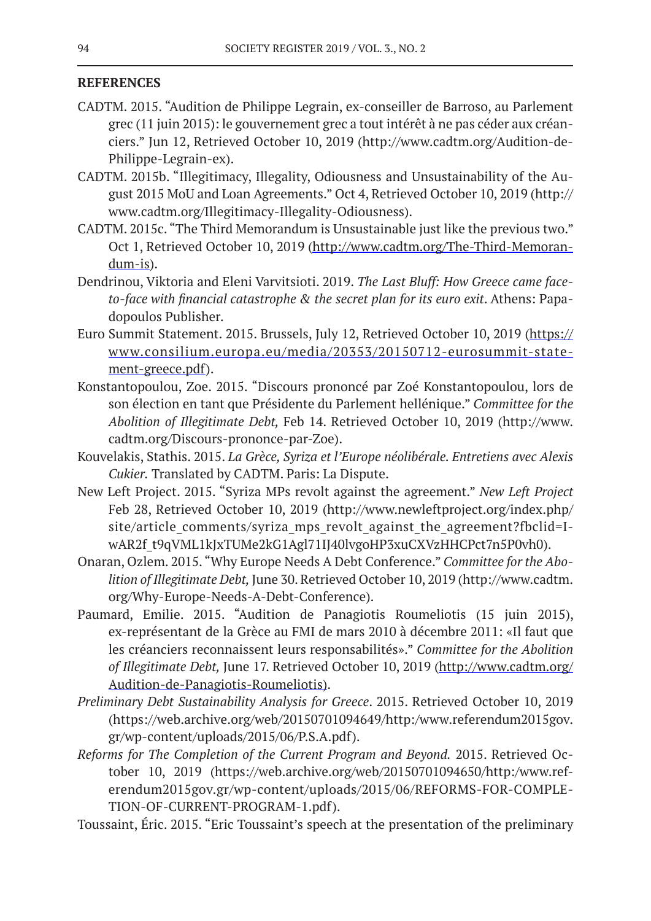# **REFERENCES**

- CADTM. 2015. "Audition de Philippe Legrain, ex-conseiller de Barroso, au Parlement grec (11 juin 2015): le gouvernement grec a tout intérêt à ne pas céder aux créanciers." Jun 12, Retrieved October 10, 2019 (http://www.cadtm.org/Audition-de-Philippe-Legrain-ex).
- CADTM. 2015b. "Illegitimacy, Illegality, Odiousness and Unsustainability of the August 2015 MoU and Loan Agreements." Oct 4, Retrieved October 10, 2019 (http:// www.cadtm.org/Illegitimacy-Illegality-Odiousness).
- CADTM. 2015c. "The Third Memorandum is Unsustainable just like the previous two." Oct 1, Retrieved October 10, 2019 (http://www.cadtm.org/The-Third-Memorandum-is).
- Dendrinou, Viktoria and Eleni Varvitsioti. 2019. *The Last Bluff: How Greece came faceto-face with financial catastrophe & the secret plan for its euro exit*. Athens: Papadopoulos Publisher.
- Euro Summit Statement. 2015. Brussels, July 12, Retrieved October 10, 2019 (https:// www.consilium.europa.eu/media/20353/20150712-eurosummit-statement-greece.pdf).
- Konstantopoulou, Zoe. 2015. "Discours prononcé par Zoé Konstantopoulou, lors de son élection en tant que Présidente du Parlement hellénique." *Committee for the Abolition of Illegitimate Debt,* Feb 14. Retrieved October 10, 2019 (http://www. cadtm.org/Discours-prononce-par-Zoe).
- Kouvelakis, Stathis. 2015. *La Grèce, Syriza et l'Europe néolibérale. Entretiens avec Alexis Cukier.* Translated by CADTM. Paris: La Dispute.
- New Left Project. 2015. "Syriza MPs revolt against the agreement." *New Left Project* Feb 28, Retrieved October 10, 2019 (http://www.newleftproject.org/index.php/ site/article\_comments/syriza\_mps\_revolt\_against\_the\_agreement?fbclid=IwAR2f\_t9qVML1kJxTUMe2kG1Agl71IJ40lvgoHP3xuCXVzHHCPct7n5P0vh0).
- Onaran, Ozlem. 2015. "Why Europe Needs A Debt Conference." *Committee for the Abolition of Illegitimate Debt,* June 30. Retrieved October 10, 2019 (http://www.cadtm. org/Why-Europe-Needs-A-Debt-Conference).
- Paumard, Emilie. 2015. "Audition de Panagiotis Roumeliotis (15 juin 2015), ex-représentant de la Grèce au FMI de mars 2010 à décembre 2011: «Il faut que les créanciers reconnaissent leurs responsabilités»." *Committee for the Abolition of Illegitimate Debt,* June 17. Retrieved October 10, 2019 (http://www.cadtm.org/ Audition-de-Panagiotis-Roumeliotis).
- *Preliminary Debt Sustainability Analysis for Greece*. 2015. Retrieved October 10, 2019 (https://web.archive.org/web/20150701094649/http:/www.referendum2015gov. gr/wp-content/uploads/2015/06/P.S.A.pdf).
- *Reforms for The Completion of the Current Program and Beyond.* 2015. Retrieved October 10, 2019 (https://web.archive.org/web/20150701094650/http:/www.referendum2015gov.gr/wp-content/uploads/2015/06/REFORMS-FOR-COMPLE-TION-OF-CURRENT-PROGRAM-1.pdf).
- Toussaint, Éric. 2015. "Eric Toussaint's speech at the presentation of the preliminary